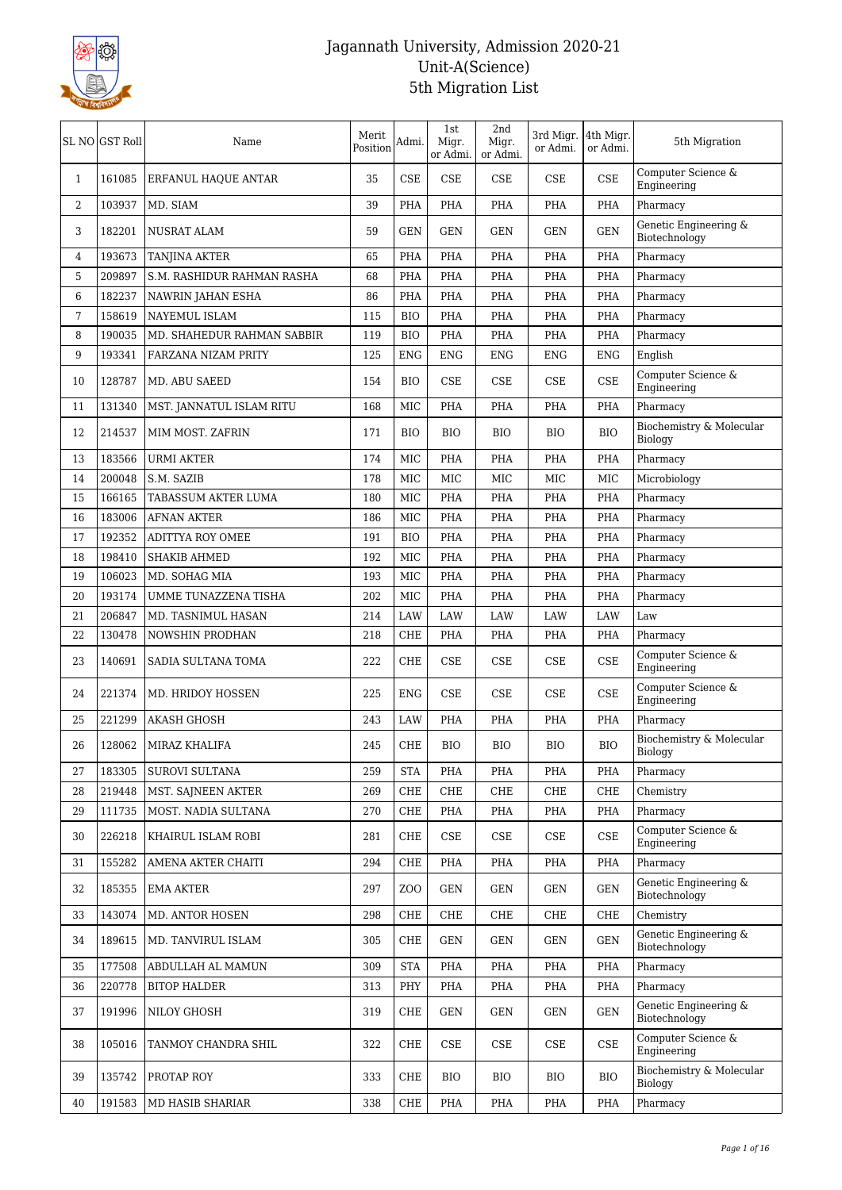

| Computer Science &<br><b>CSE</b><br><b>CSE</b><br><b>CSE</b><br><b>CSE</b><br>CSE<br>161085<br>35<br>$\mathbf{1}$<br>ERFANUL HAQUE ANTAR<br>Engineering<br>$\overline{2}$<br>103937<br>39<br>PHA<br>MD. SIAM<br>PHA<br>PHA<br>PHA<br>PHA<br>Pharmacy<br>Genetic Engineering &<br>182201<br>59<br><b>GEN</b><br><b>GEN</b><br><b>GEN</b><br><b>GEN</b><br>3<br><b>NUSRAT ALAM</b><br><b>GEN</b><br>Biotechnology<br>193673<br>65<br>PHA<br>PHA<br>PHA<br>PHA<br>4<br><b>TANJINA AKTER</b><br>PHA<br>Pharmacy<br>5<br>209897<br>S.M. RASHIDUR RAHMAN RASHA<br>68<br>PHA<br>PHA<br>PHA<br>PHA<br>PHA<br>Pharmacy<br>6<br>182237<br>86<br>PHA<br>PHA<br>PHA<br>NAWRIN JAHAN ESHA<br>PHA<br>PHA<br>Pharmacy<br>158619<br>115<br>7<br>NAYEMUL ISLAM<br><b>BIO</b><br>PHA<br><b>PHA</b><br>PHA<br>PHA<br>Pharmacy<br>8<br>190035<br>PHA<br>PHA<br>PHA<br>PHA<br>MD. SHAHEDUR RAHMAN SABBIR<br>119<br><b>BIO</b><br>Pharmacy<br>193341<br>9<br>FARZANA NIZAM PRITY<br>125<br><b>ENG</b><br>ENG<br><b>ENG</b><br><b>ENG</b><br>ENG<br>English<br>Computer Science &<br>128787<br><b>CSE</b><br><b>CSE</b><br>CSE<br><b>CSE</b><br>10<br>MD. ABU SAEED<br>154<br>BIO<br>Engineering<br>131340<br>168<br><b>MIC</b><br>PHA<br><b>PHA</b><br>PHA<br>PHA<br>Pharmacy<br>11<br>MST. JANNATUL ISLAM RITU<br>Biochemistry & Molecular<br>12<br>214537<br>MIM MOST. ZAFRIN<br>171<br><b>BIO</b><br><b>BIO</b><br><b>BIO</b><br><b>BIO</b><br><b>BIO</b><br>Biology<br>183566<br>174<br><b>MIC</b><br>PHA<br>13<br><b>URMI AKTER</b><br>PHA<br>PHA<br>PHA<br>Pharmacy<br>200048<br>MIC<br>MIC<br>MIC<br>MIC<br>14<br>S.M. SAZIB<br>178<br>MIC<br>Microbiology<br>15<br>166165<br><b>TABASSUM AKTER LUMA</b><br>180<br><b>MIC</b><br>PHA<br>PHA<br>PHA<br>PHA<br>Pharmacy<br>16<br>183006<br>PHA<br>PHA<br><b>AFNAN AKTER</b><br>186<br>MIC<br>PHA<br>PHA<br>Pharmacy<br>192352<br>191<br>PHA<br><b>PHA</b><br>PHA<br>PHA<br>17<br><b>ADITTYA ROY OMEE</b><br><b>BIO</b><br>Pharmacy<br>198410<br><b>MIC</b><br>18<br>SHAKIB AHMED<br>192<br><b>PHA</b><br><b>PHA</b><br>PHA<br>PHA<br>Pharmacy<br>106023<br>19<br>MD. SOHAG MIA<br>193<br>MIC<br>PHA<br><b>PHA</b><br>PHA<br>PHA<br>Pharmacy<br>193174<br>202<br>MIC<br>PHA<br>20<br>UMME TUNAZZENA TISHA<br>PHA<br>PHA<br>PHA<br>Pharmacy<br>206847<br>21<br>MD. TASNIMUL HASAN<br>214<br>LAW<br>LAW<br>LAW<br>LAW<br>LAW<br>Law<br>130478<br>22<br>NOWSHIN PRODHAN<br>218<br>CHE<br>PHA<br>PHA<br>PHA<br>PHA<br>Pharmacy<br>Computer Science &<br>23<br>140691<br>222<br><b>CHE</b><br><b>CSE</b><br><b>CSE</b><br>CSE<br><b>CSE</b><br>SADIA SULTANA TOMA<br>Engineering<br>Computer Science &<br><b>CSE</b><br>CSE<br><b>CSE</b><br>24<br>221374<br>MD. HRIDOY HOSSEN<br>225<br><b>ENG</b><br>CSE<br>Engineering<br>221299<br>LAW<br>PHA<br>Pharmacy<br>25<br><b>AKASH GHOSH</b><br>243<br><b>PHA</b><br>PHA<br>PHA<br>Biochemistry & Molecular<br>26<br>128062<br>245<br>CHE<br><b>BIO</b><br><b>BIO</b><br><b>BIO</b><br>MIRAZ KHALIFA<br>BIO<br>Biology<br>183305<br>SUROVI SULTANA<br>259<br><b>STA</b><br>PHA<br>27<br>PHA<br>PHA<br>PHA<br>Pharmacy<br>219448<br>CHE<br>28<br>MST. SAJNEEN AKTER<br>269<br>CHE<br>CHE<br>CHE<br>CHE<br>Chemistry<br>111735<br>29<br>MOST. NADIA SULTANA<br>270<br>CHE<br>PHA<br>PHA<br>PHA<br>PHA<br>Pharmacy<br>Computer Science &<br>281<br>CSE<br>CSE<br>30<br>226218<br>KHAIRUL ISLAM ROBI<br>CHE<br><b>CSE</b><br>CSE<br>Engineering<br>155282<br>294<br>CHE<br>Pharmacy<br>AMENA AKTER CHAITI<br>PHA<br>PHA<br>PHA<br>PHA<br>31<br>Genetic Engineering &<br>32<br>185355<br>297<br>Z <sub>0</sub><br><b>GEN</b><br><b>GEN</b><br><b>GEN</b><br>EMA AKTER<br>GEN<br>Biotechnology<br>143074<br>Chemistry<br>33<br><b>MD. ANTOR HOSEN</b><br>298<br>CHE<br>CHE<br>CHE<br>CHE<br>CHE<br>Genetic Engineering &<br>189615<br>$\operatorname{GEN}$<br>34<br>MD. TANVIRUL ISLAM<br>305<br>CHE<br><b>GEN</b><br><b>GEN</b><br><b>GEN</b><br>Biotechnology<br>35<br>177508<br>309<br><b>STA</b><br>PHA<br>PHA<br>PHA<br>PHA<br>ABDULLAH AL MAMUN<br>Pharmacy<br>220778<br>PHY<br>PHA<br>Pharmacy<br>36<br><b>BITOP HALDER</b><br>313<br>PHA<br>PHA<br>PHA<br>Genetic Engineering &<br>37<br>191996<br>NILOY GHOSH<br>319<br>CHE<br><b>GEN</b><br><b>GEN</b><br>GEN<br>GEN<br>Biotechnology<br>Computer Science &<br>322<br>CHE<br>$\ensuremath{\mathsf{CSE}}$<br>CSE<br>CSE<br>38<br>105016<br>TANMOY CHANDRA SHIL<br>CSE<br>Engineering<br>Biochemistry & Molecular<br>135742<br>333<br><b>BIO</b><br>39<br>PROTAP ROY<br>CHE<br><b>BIO</b><br>BIO<br><b>BIO</b><br>Biology<br>40<br>191583<br>MD HASIB SHARIAR<br>338<br>CHE<br>PHA<br>PHA<br>PHA<br>PHA<br>Pharmacy | SL NO GST Roll | Name | Merit<br>Position | Admi. | 1st<br>Migr.<br>or Admi. | 2nd<br>Migr.<br>or Admi. | 3rd Migr. 4th Migr.<br>or Admi. | or Admi. | 5th Migration |
|---------------------------------------------------------------------------------------------------------------------------------------------------------------------------------------------------------------------------------------------------------------------------------------------------------------------------------------------------------------------------------------------------------------------------------------------------------------------------------------------------------------------------------------------------------------------------------------------------------------------------------------------------------------------------------------------------------------------------------------------------------------------------------------------------------------------------------------------------------------------------------------------------------------------------------------------------------------------------------------------------------------------------------------------------------------------------------------------------------------------------------------------------------------------------------------------------------------------------------------------------------------------------------------------------------------------------------------------------------------------------------------------------------------------------------------------------------------------------------------------------------------------------------------------------------------------------------------------------------------------------------------------------------------------------------------------------------------------------------------------------------------------------------------------------------------------------------------------------------------------------------------------------------------------------------------------------------------------------------------------------------------------------------------------------------------------------------------------------------------------------------------------------------------------------------------------------------------------------------------------------------------------------------------------------------------------------------------------------------------------------------------------------------------------------------------------------------------------------------------------------------------------------------------------------------------------------------------------------------------------------------------------------------------------------------------------------------------------------------------------------------------------------------------------------------------------------------------------------------------------------------------------------------------------------------------------------------------------------------------------------------------------------------------------------------------------------------------------------------------------------------------------------------------------------------------------------------------------------------------------------------------------------------------------------------------------------------------------------------------------------------------------------------------------------------------------------------------------------------------------------------------------------------------------------------------------------------------------------------------------------------------------------------------------------------------------------------------------------------------------------------------------------------------------------------------------------------------------------------------------------------------------------------------------------------------------------------------------------------------------------------------------------------------------------------------------------------------------------------------------------------------------------------------------------------------------------------------------------------------------------------------------------------------------------------------------------------------------------------------------------------------------------------------------------------------------------------------------------------------------------------------------------------------------------------------------------------------------------------------------------------------------|----------------|------|-------------------|-------|--------------------------|--------------------------|---------------------------------|----------|---------------|
|                                                                                                                                                                                                                                                                                                                                                                                                                                                                                                                                                                                                                                                                                                                                                                                                                                                                                                                                                                                                                                                                                                                                                                                                                                                                                                                                                                                                                                                                                                                                                                                                                                                                                                                                                                                                                                                                                                                                                                                                                                                                                                                                                                                                                                                                                                                                                                                                                                                                                                                                                                                                                                                                                                                                                                                                                                                                                                                                                                                                                                                                                                                                                                                                                                                                                                                                                                                                                                                                                                                                                                                                                                                                                                                                                                                                                                                                                                                                                                                                                                                                                                                                                                                                                                                                                                                                                                                                                                                                                                                                                                                                                                             |                |      |                   |       |                          |                          |                                 |          |               |
|                                                                                                                                                                                                                                                                                                                                                                                                                                                                                                                                                                                                                                                                                                                                                                                                                                                                                                                                                                                                                                                                                                                                                                                                                                                                                                                                                                                                                                                                                                                                                                                                                                                                                                                                                                                                                                                                                                                                                                                                                                                                                                                                                                                                                                                                                                                                                                                                                                                                                                                                                                                                                                                                                                                                                                                                                                                                                                                                                                                                                                                                                                                                                                                                                                                                                                                                                                                                                                                                                                                                                                                                                                                                                                                                                                                                                                                                                                                                                                                                                                                                                                                                                                                                                                                                                                                                                                                                                                                                                                                                                                                                                                             |                |      |                   |       |                          |                          |                                 |          |               |
|                                                                                                                                                                                                                                                                                                                                                                                                                                                                                                                                                                                                                                                                                                                                                                                                                                                                                                                                                                                                                                                                                                                                                                                                                                                                                                                                                                                                                                                                                                                                                                                                                                                                                                                                                                                                                                                                                                                                                                                                                                                                                                                                                                                                                                                                                                                                                                                                                                                                                                                                                                                                                                                                                                                                                                                                                                                                                                                                                                                                                                                                                                                                                                                                                                                                                                                                                                                                                                                                                                                                                                                                                                                                                                                                                                                                                                                                                                                                                                                                                                                                                                                                                                                                                                                                                                                                                                                                                                                                                                                                                                                                                                             |                |      |                   |       |                          |                          |                                 |          |               |
|                                                                                                                                                                                                                                                                                                                                                                                                                                                                                                                                                                                                                                                                                                                                                                                                                                                                                                                                                                                                                                                                                                                                                                                                                                                                                                                                                                                                                                                                                                                                                                                                                                                                                                                                                                                                                                                                                                                                                                                                                                                                                                                                                                                                                                                                                                                                                                                                                                                                                                                                                                                                                                                                                                                                                                                                                                                                                                                                                                                                                                                                                                                                                                                                                                                                                                                                                                                                                                                                                                                                                                                                                                                                                                                                                                                                                                                                                                                                                                                                                                                                                                                                                                                                                                                                                                                                                                                                                                                                                                                                                                                                                                             |                |      |                   |       |                          |                          |                                 |          |               |
|                                                                                                                                                                                                                                                                                                                                                                                                                                                                                                                                                                                                                                                                                                                                                                                                                                                                                                                                                                                                                                                                                                                                                                                                                                                                                                                                                                                                                                                                                                                                                                                                                                                                                                                                                                                                                                                                                                                                                                                                                                                                                                                                                                                                                                                                                                                                                                                                                                                                                                                                                                                                                                                                                                                                                                                                                                                                                                                                                                                                                                                                                                                                                                                                                                                                                                                                                                                                                                                                                                                                                                                                                                                                                                                                                                                                                                                                                                                                                                                                                                                                                                                                                                                                                                                                                                                                                                                                                                                                                                                                                                                                                                             |                |      |                   |       |                          |                          |                                 |          |               |
|                                                                                                                                                                                                                                                                                                                                                                                                                                                                                                                                                                                                                                                                                                                                                                                                                                                                                                                                                                                                                                                                                                                                                                                                                                                                                                                                                                                                                                                                                                                                                                                                                                                                                                                                                                                                                                                                                                                                                                                                                                                                                                                                                                                                                                                                                                                                                                                                                                                                                                                                                                                                                                                                                                                                                                                                                                                                                                                                                                                                                                                                                                                                                                                                                                                                                                                                                                                                                                                                                                                                                                                                                                                                                                                                                                                                                                                                                                                                                                                                                                                                                                                                                                                                                                                                                                                                                                                                                                                                                                                                                                                                                                             |                |      |                   |       |                          |                          |                                 |          |               |
|                                                                                                                                                                                                                                                                                                                                                                                                                                                                                                                                                                                                                                                                                                                                                                                                                                                                                                                                                                                                                                                                                                                                                                                                                                                                                                                                                                                                                                                                                                                                                                                                                                                                                                                                                                                                                                                                                                                                                                                                                                                                                                                                                                                                                                                                                                                                                                                                                                                                                                                                                                                                                                                                                                                                                                                                                                                                                                                                                                                                                                                                                                                                                                                                                                                                                                                                                                                                                                                                                                                                                                                                                                                                                                                                                                                                                                                                                                                                                                                                                                                                                                                                                                                                                                                                                                                                                                                                                                                                                                                                                                                                                                             |                |      |                   |       |                          |                          |                                 |          |               |
|                                                                                                                                                                                                                                                                                                                                                                                                                                                                                                                                                                                                                                                                                                                                                                                                                                                                                                                                                                                                                                                                                                                                                                                                                                                                                                                                                                                                                                                                                                                                                                                                                                                                                                                                                                                                                                                                                                                                                                                                                                                                                                                                                                                                                                                                                                                                                                                                                                                                                                                                                                                                                                                                                                                                                                                                                                                                                                                                                                                                                                                                                                                                                                                                                                                                                                                                                                                                                                                                                                                                                                                                                                                                                                                                                                                                                                                                                                                                                                                                                                                                                                                                                                                                                                                                                                                                                                                                                                                                                                                                                                                                                                             |                |      |                   |       |                          |                          |                                 |          |               |
|                                                                                                                                                                                                                                                                                                                                                                                                                                                                                                                                                                                                                                                                                                                                                                                                                                                                                                                                                                                                                                                                                                                                                                                                                                                                                                                                                                                                                                                                                                                                                                                                                                                                                                                                                                                                                                                                                                                                                                                                                                                                                                                                                                                                                                                                                                                                                                                                                                                                                                                                                                                                                                                                                                                                                                                                                                                                                                                                                                                                                                                                                                                                                                                                                                                                                                                                                                                                                                                                                                                                                                                                                                                                                                                                                                                                                                                                                                                                                                                                                                                                                                                                                                                                                                                                                                                                                                                                                                                                                                                                                                                                                                             |                |      |                   |       |                          |                          |                                 |          |               |
|                                                                                                                                                                                                                                                                                                                                                                                                                                                                                                                                                                                                                                                                                                                                                                                                                                                                                                                                                                                                                                                                                                                                                                                                                                                                                                                                                                                                                                                                                                                                                                                                                                                                                                                                                                                                                                                                                                                                                                                                                                                                                                                                                                                                                                                                                                                                                                                                                                                                                                                                                                                                                                                                                                                                                                                                                                                                                                                                                                                                                                                                                                                                                                                                                                                                                                                                                                                                                                                                                                                                                                                                                                                                                                                                                                                                                                                                                                                                                                                                                                                                                                                                                                                                                                                                                                                                                                                                                                                                                                                                                                                                                                             |                |      |                   |       |                          |                          |                                 |          |               |
|                                                                                                                                                                                                                                                                                                                                                                                                                                                                                                                                                                                                                                                                                                                                                                                                                                                                                                                                                                                                                                                                                                                                                                                                                                                                                                                                                                                                                                                                                                                                                                                                                                                                                                                                                                                                                                                                                                                                                                                                                                                                                                                                                                                                                                                                                                                                                                                                                                                                                                                                                                                                                                                                                                                                                                                                                                                                                                                                                                                                                                                                                                                                                                                                                                                                                                                                                                                                                                                                                                                                                                                                                                                                                                                                                                                                                                                                                                                                                                                                                                                                                                                                                                                                                                                                                                                                                                                                                                                                                                                                                                                                                                             |                |      |                   |       |                          |                          |                                 |          |               |
|                                                                                                                                                                                                                                                                                                                                                                                                                                                                                                                                                                                                                                                                                                                                                                                                                                                                                                                                                                                                                                                                                                                                                                                                                                                                                                                                                                                                                                                                                                                                                                                                                                                                                                                                                                                                                                                                                                                                                                                                                                                                                                                                                                                                                                                                                                                                                                                                                                                                                                                                                                                                                                                                                                                                                                                                                                                                                                                                                                                                                                                                                                                                                                                                                                                                                                                                                                                                                                                                                                                                                                                                                                                                                                                                                                                                                                                                                                                                                                                                                                                                                                                                                                                                                                                                                                                                                                                                                                                                                                                                                                                                                                             |                |      |                   |       |                          |                          |                                 |          |               |
|                                                                                                                                                                                                                                                                                                                                                                                                                                                                                                                                                                                                                                                                                                                                                                                                                                                                                                                                                                                                                                                                                                                                                                                                                                                                                                                                                                                                                                                                                                                                                                                                                                                                                                                                                                                                                                                                                                                                                                                                                                                                                                                                                                                                                                                                                                                                                                                                                                                                                                                                                                                                                                                                                                                                                                                                                                                                                                                                                                                                                                                                                                                                                                                                                                                                                                                                                                                                                                                                                                                                                                                                                                                                                                                                                                                                                                                                                                                                                                                                                                                                                                                                                                                                                                                                                                                                                                                                                                                                                                                                                                                                                                             |                |      |                   |       |                          |                          |                                 |          |               |
|                                                                                                                                                                                                                                                                                                                                                                                                                                                                                                                                                                                                                                                                                                                                                                                                                                                                                                                                                                                                                                                                                                                                                                                                                                                                                                                                                                                                                                                                                                                                                                                                                                                                                                                                                                                                                                                                                                                                                                                                                                                                                                                                                                                                                                                                                                                                                                                                                                                                                                                                                                                                                                                                                                                                                                                                                                                                                                                                                                                                                                                                                                                                                                                                                                                                                                                                                                                                                                                                                                                                                                                                                                                                                                                                                                                                                                                                                                                                                                                                                                                                                                                                                                                                                                                                                                                                                                                                                                                                                                                                                                                                                                             |                |      |                   |       |                          |                          |                                 |          |               |
|                                                                                                                                                                                                                                                                                                                                                                                                                                                                                                                                                                                                                                                                                                                                                                                                                                                                                                                                                                                                                                                                                                                                                                                                                                                                                                                                                                                                                                                                                                                                                                                                                                                                                                                                                                                                                                                                                                                                                                                                                                                                                                                                                                                                                                                                                                                                                                                                                                                                                                                                                                                                                                                                                                                                                                                                                                                                                                                                                                                                                                                                                                                                                                                                                                                                                                                                                                                                                                                                                                                                                                                                                                                                                                                                                                                                                                                                                                                                                                                                                                                                                                                                                                                                                                                                                                                                                                                                                                                                                                                                                                                                                                             |                |      |                   |       |                          |                          |                                 |          |               |
|                                                                                                                                                                                                                                                                                                                                                                                                                                                                                                                                                                                                                                                                                                                                                                                                                                                                                                                                                                                                                                                                                                                                                                                                                                                                                                                                                                                                                                                                                                                                                                                                                                                                                                                                                                                                                                                                                                                                                                                                                                                                                                                                                                                                                                                                                                                                                                                                                                                                                                                                                                                                                                                                                                                                                                                                                                                                                                                                                                                                                                                                                                                                                                                                                                                                                                                                                                                                                                                                                                                                                                                                                                                                                                                                                                                                                                                                                                                                                                                                                                                                                                                                                                                                                                                                                                                                                                                                                                                                                                                                                                                                                                             |                |      |                   |       |                          |                          |                                 |          |               |
|                                                                                                                                                                                                                                                                                                                                                                                                                                                                                                                                                                                                                                                                                                                                                                                                                                                                                                                                                                                                                                                                                                                                                                                                                                                                                                                                                                                                                                                                                                                                                                                                                                                                                                                                                                                                                                                                                                                                                                                                                                                                                                                                                                                                                                                                                                                                                                                                                                                                                                                                                                                                                                                                                                                                                                                                                                                                                                                                                                                                                                                                                                                                                                                                                                                                                                                                                                                                                                                                                                                                                                                                                                                                                                                                                                                                                                                                                                                                                                                                                                                                                                                                                                                                                                                                                                                                                                                                                                                                                                                                                                                                                                             |                |      |                   |       |                          |                          |                                 |          |               |
|                                                                                                                                                                                                                                                                                                                                                                                                                                                                                                                                                                                                                                                                                                                                                                                                                                                                                                                                                                                                                                                                                                                                                                                                                                                                                                                                                                                                                                                                                                                                                                                                                                                                                                                                                                                                                                                                                                                                                                                                                                                                                                                                                                                                                                                                                                                                                                                                                                                                                                                                                                                                                                                                                                                                                                                                                                                                                                                                                                                                                                                                                                                                                                                                                                                                                                                                                                                                                                                                                                                                                                                                                                                                                                                                                                                                                                                                                                                                                                                                                                                                                                                                                                                                                                                                                                                                                                                                                                                                                                                                                                                                                                             |                |      |                   |       |                          |                          |                                 |          |               |
|                                                                                                                                                                                                                                                                                                                                                                                                                                                                                                                                                                                                                                                                                                                                                                                                                                                                                                                                                                                                                                                                                                                                                                                                                                                                                                                                                                                                                                                                                                                                                                                                                                                                                                                                                                                                                                                                                                                                                                                                                                                                                                                                                                                                                                                                                                                                                                                                                                                                                                                                                                                                                                                                                                                                                                                                                                                                                                                                                                                                                                                                                                                                                                                                                                                                                                                                                                                                                                                                                                                                                                                                                                                                                                                                                                                                                                                                                                                                                                                                                                                                                                                                                                                                                                                                                                                                                                                                                                                                                                                                                                                                                                             |                |      |                   |       |                          |                          |                                 |          |               |
|                                                                                                                                                                                                                                                                                                                                                                                                                                                                                                                                                                                                                                                                                                                                                                                                                                                                                                                                                                                                                                                                                                                                                                                                                                                                                                                                                                                                                                                                                                                                                                                                                                                                                                                                                                                                                                                                                                                                                                                                                                                                                                                                                                                                                                                                                                                                                                                                                                                                                                                                                                                                                                                                                                                                                                                                                                                                                                                                                                                                                                                                                                                                                                                                                                                                                                                                                                                                                                                                                                                                                                                                                                                                                                                                                                                                                                                                                                                                                                                                                                                                                                                                                                                                                                                                                                                                                                                                                                                                                                                                                                                                                                             |                |      |                   |       |                          |                          |                                 |          |               |
|                                                                                                                                                                                                                                                                                                                                                                                                                                                                                                                                                                                                                                                                                                                                                                                                                                                                                                                                                                                                                                                                                                                                                                                                                                                                                                                                                                                                                                                                                                                                                                                                                                                                                                                                                                                                                                                                                                                                                                                                                                                                                                                                                                                                                                                                                                                                                                                                                                                                                                                                                                                                                                                                                                                                                                                                                                                                                                                                                                                                                                                                                                                                                                                                                                                                                                                                                                                                                                                                                                                                                                                                                                                                                                                                                                                                                                                                                                                                                                                                                                                                                                                                                                                                                                                                                                                                                                                                                                                                                                                                                                                                                                             |                |      |                   |       |                          |                          |                                 |          |               |
|                                                                                                                                                                                                                                                                                                                                                                                                                                                                                                                                                                                                                                                                                                                                                                                                                                                                                                                                                                                                                                                                                                                                                                                                                                                                                                                                                                                                                                                                                                                                                                                                                                                                                                                                                                                                                                                                                                                                                                                                                                                                                                                                                                                                                                                                                                                                                                                                                                                                                                                                                                                                                                                                                                                                                                                                                                                                                                                                                                                                                                                                                                                                                                                                                                                                                                                                                                                                                                                                                                                                                                                                                                                                                                                                                                                                                                                                                                                                                                                                                                                                                                                                                                                                                                                                                                                                                                                                                                                                                                                                                                                                                                             |                |      |                   |       |                          |                          |                                 |          |               |
|                                                                                                                                                                                                                                                                                                                                                                                                                                                                                                                                                                                                                                                                                                                                                                                                                                                                                                                                                                                                                                                                                                                                                                                                                                                                                                                                                                                                                                                                                                                                                                                                                                                                                                                                                                                                                                                                                                                                                                                                                                                                                                                                                                                                                                                                                                                                                                                                                                                                                                                                                                                                                                                                                                                                                                                                                                                                                                                                                                                                                                                                                                                                                                                                                                                                                                                                                                                                                                                                                                                                                                                                                                                                                                                                                                                                                                                                                                                                                                                                                                                                                                                                                                                                                                                                                                                                                                                                                                                                                                                                                                                                                                             |                |      |                   |       |                          |                          |                                 |          |               |
|                                                                                                                                                                                                                                                                                                                                                                                                                                                                                                                                                                                                                                                                                                                                                                                                                                                                                                                                                                                                                                                                                                                                                                                                                                                                                                                                                                                                                                                                                                                                                                                                                                                                                                                                                                                                                                                                                                                                                                                                                                                                                                                                                                                                                                                                                                                                                                                                                                                                                                                                                                                                                                                                                                                                                                                                                                                                                                                                                                                                                                                                                                                                                                                                                                                                                                                                                                                                                                                                                                                                                                                                                                                                                                                                                                                                                                                                                                                                                                                                                                                                                                                                                                                                                                                                                                                                                                                                                                                                                                                                                                                                                                             |                |      |                   |       |                          |                          |                                 |          |               |
|                                                                                                                                                                                                                                                                                                                                                                                                                                                                                                                                                                                                                                                                                                                                                                                                                                                                                                                                                                                                                                                                                                                                                                                                                                                                                                                                                                                                                                                                                                                                                                                                                                                                                                                                                                                                                                                                                                                                                                                                                                                                                                                                                                                                                                                                                                                                                                                                                                                                                                                                                                                                                                                                                                                                                                                                                                                                                                                                                                                                                                                                                                                                                                                                                                                                                                                                                                                                                                                                                                                                                                                                                                                                                                                                                                                                                                                                                                                                                                                                                                                                                                                                                                                                                                                                                                                                                                                                                                                                                                                                                                                                                                             |                |      |                   |       |                          |                          |                                 |          |               |
|                                                                                                                                                                                                                                                                                                                                                                                                                                                                                                                                                                                                                                                                                                                                                                                                                                                                                                                                                                                                                                                                                                                                                                                                                                                                                                                                                                                                                                                                                                                                                                                                                                                                                                                                                                                                                                                                                                                                                                                                                                                                                                                                                                                                                                                                                                                                                                                                                                                                                                                                                                                                                                                                                                                                                                                                                                                                                                                                                                                                                                                                                                                                                                                                                                                                                                                                                                                                                                                                                                                                                                                                                                                                                                                                                                                                                                                                                                                                                                                                                                                                                                                                                                                                                                                                                                                                                                                                                                                                                                                                                                                                                                             |                |      |                   |       |                          |                          |                                 |          |               |
|                                                                                                                                                                                                                                                                                                                                                                                                                                                                                                                                                                                                                                                                                                                                                                                                                                                                                                                                                                                                                                                                                                                                                                                                                                                                                                                                                                                                                                                                                                                                                                                                                                                                                                                                                                                                                                                                                                                                                                                                                                                                                                                                                                                                                                                                                                                                                                                                                                                                                                                                                                                                                                                                                                                                                                                                                                                                                                                                                                                                                                                                                                                                                                                                                                                                                                                                                                                                                                                                                                                                                                                                                                                                                                                                                                                                                                                                                                                                                                                                                                                                                                                                                                                                                                                                                                                                                                                                                                                                                                                                                                                                                                             |                |      |                   |       |                          |                          |                                 |          |               |
|                                                                                                                                                                                                                                                                                                                                                                                                                                                                                                                                                                                                                                                                                                                                                                                                                                                                                                                                                                                                                                                                                                                                                                                                                                                                                                                                                                                                                                                                                                                                                                                                                                                                                                                                                                                                                                                                                                                                                                                                                                                                                                                                                                                                                                                                                                                                                                                                                                                                                                                                                                                                                                                                                                                                                                                                                                                                                                                                                                                                                                                                                                                                                                                                                                                                                                                                                                                                                                                                                                                                                                                                                                                                                                                                                                                                                                                                                                                                                                                                                                                                                                                                                                                                                                                                                                                                                                                                                                                                                                                                                                                                                                             |                |      |                   |       |                          |                          |                                 |          |               |
|                                                                                                                                                                                                                                                                                                                                                                                                                                                                                                                                                                                                                                                                                                                                                                                                                                                                                                                                                                                                                                                                                                                                                                                                                                                                                                                                                                                                                                                                                                                                                                                                                                                                                                                                                                                                                                                                                                                                                                                                                                                                                                                                                                                                                                                                                                                                                                                                                                                                                                                                                                                                                                                                                                                                                                                                                                                                                                                                                                                                                                                                                                                                                                                                                                                                                                                                                                                                                                                                                                                                                                                                                                                                                                                                                                                                                                                                                                                                                                                                                                                                                                                                                                                                                                                                                                                                                                                                                                                                                                                                                                                                                                             |                |      |                   |       |                          |                          |                                 |          |               |
|                                                                                                                                                                                                                                                                                                                                                                                                                                                                                                                                                                                                                                                                                                                                                                                                                                                                                                                                                                                                                                                                                                                                                                                                                                                                                                                                                                                                                                                                                                                                                                                                                                                                                                                                                                                                                                                                                                                                                                                                                                                                                                                                                                                                                                                                                                                                                                                                                                                                                                                                                                                                                                                                                                                                                                                                                                                                                                                                                                                                                                                                                                                                                                                                                                                                                                                                                                                                                                                                                                                                                                                                                                                                                                                                                                                                                                                                                                                                                                                                                                                                                                                                                                                                                                                                                                                                                                                                                                                                                                                                                                                                                                             |                |      |                   |       |                          |                          |                                 |          |               |
|                                                                                                                                                                                                                                                                                                                                                                                                                                                                                                                                                                                                                                                                                                                                                                                                                                                                                                                                                                                                                                                                                                                                                                                                                                                                                                                                                                                                                                                                                                                                                                                                                                                                                                                                                                                                                                                                                                                                                                                                                                                                                                                                                                                                                                                                                                                                                                                                                                                                                                                                                                                                                                                                                                                                                                                                                                                                                                                                                                                                                                                                                                                                                                                                                                                                                                                                                                                                                                                                                                                                                                                                                                                                                                                                                                                                                                                                                                                                                                                                                                                                                                                                                                                                                                                                                                                                                                                                                                                                                                                                                                                                                                             |                |      |                   |       |                          |                          |                                 |          |               |
|                                                                                                                                                                                                                                                                                                                                                                                                                                                                                                                                                                                                                                                                                                                                                                                                                                                                                                                                                                                                                                                                                                                                                                                                                                                                                                                                                                                                                                                                                                                                                                                                                                                                                                                                                                                                                                                                                                                                                                                                                                                                                                                                                                                                                                                                                                                                                                                                                                                                                                                                                                                                                                                                                                                                                                                                                                                                                                                                                                                                                                                                                                                                                                                                                                                                                                                                                                                                                                                                                                                                                                                                                                                                                                                                                                                                                                                                                                                                                                                                                                                                                                                                                                                                                                                                                                                                                                                                                                                                                                                                                                                                                                             |                |      |                   |       |                          |                          |                                 |          |               |
|                                                                                                                                                                                                                                                                                                                                                                                                                                                                                                                                                                                                                                                                                                                                                                                                                                                                                                                                                                                                                                                                                                                                                                                                                                                                                                                                                                                                                                                                                                                                                                                                                                                                                                                                                                                                                                                                                                                                                                                                                                                                                                                                                                                                                                                                                                                                                                                                                                                                                                                                                                                                                                                                                                                                                                                                                                                                                                                                                                                                                                                                                                                                                                                                                                                                                                                                                                                                                                                                                                                                                                                                                                                                                                                                                                                                                                                                                                                                                                                                                                                                                                                                                                                                                                                                                                                                                                                                                                                                                                                                                                                                                                             |                |      |                   |       |                          |                          |                                 |          |               |
|                                                                                                                                                                                                                                                                                                                                                                                                                                                                                                                                                                                                                                                                                                                                                                                                                                                                                                                                                                                                                                                                                                                                                                                                                                                                                                                                                                                                                                                                                                                                                                                                                                                                                                                                                                                                                                                                                                                                                                                                                                                                                                                                                                                                                                                                                                                                                                                                                                                                                                                                                                                                                                                                                                                                                                                                                                                                                                                                                                                                                                                                                                                                                                                                                                                                                                                                                                                                                                                                                                                                                                                                                                                                                                                                                                                                                                                                                                                                                                                                                                                                                                                                                                                                                                                                                                                                                                                                                                                                                                                                                                                                                                             |                |      |                   |       |                          |                          |                                 |          |               |
|                                                                                                                                                                                                                                                                                                                                                                                                                                                                                                                                                                                                                                                                                                                                                                                                                                                                                                                                                                                                                                                                                                                                                                                                                                                                                                                                                                                                                                                                                                                                                                                                                                                                                                                                                                                                                                                                                                                                                                                                                                                                                                                                                                                                                                                                                                                                                                                                                                                                                                                                                                                                                                                                                                                                                                                                                                                                                                                                                                                                                                                                                                                                                                                                                                                                                                                                                                                                                                                                                                                                                                                                                                                                                                                                                                                                                                                                                                                                                                                                                                                                                                                                                                                                                                                                                                                                                                                                                                                                                                                                                                                                                                             |                |      |                   |       |                          |                          |                                 |          |               |
|                                                                                                                                                                                                                                                                                                                                                                                                                                                                                                                                                                                                                                                                                                                                                                                                                                                                                                                                                                                                                                                                                                                                                                                                                                                                                                                                                                                                                                                                                                                                                                                                                                                                                                                                                                                                                                                                                                                                                                                                                                                                                                                                                                                                                                                                                                                                                                                                                                                                                                                                                                                                                                                                                                                                                                                                                                                                                                                                                                                                                                                                                                                                                                                                                                                                                                                                                                                                                                                                                                                                                                                                                                                                                                                                                                                                                                                                                                                                                                                                                                                                                                                                                                                                                                                                                                                                                                                                                                                                                                                                                                                                                                             |                |      |                   |       |                          |                          |                                 |          |               |
|                                                                                                                                                                                                                                                                                                                                                                                                                                                                                                                                                                                                                                                                                                                                                                                                                                                                                                                                                                                                                                                                                                                                                                                                                                                                                                                                                                                                                                                                                                                                                                                                                                                                                                                                                                                                                                                                                                                                                                                                                                                                                                                                                                                                                                                                                                                                                                                                                                                                                                                                                                                                                                                                                                                                                                                                                                                                                                                                                                                                                                                                                                                                                                                                                                                                                                                                                                                                                                                                                                                                                                                                                                                                                                                                                                                                                                                                                                                                                                                                                                                                                                                                                                                                                                                                                                                                                                                                                                                                                                                                                                                                                                             |                |      |                   |       |                          |                          |                                 |          |               |
|                                                                                                                                                                                                                                                                                                                                                                                                                                                                                                                                                                                                                                                                                                                                                                                                                                                                                                                                                                                                                                                                                                                                                                                                                                                                                                                                                                                                                                                                                                                                                                                                                                                                                                                                                                                                                                                                                                                                                                                                                                                                                                                                                                                                                                                                                                                                                                                                                                                                                                                                                                                                                                                                                                                                                                                                                                                                                                                                                                                                                                                                                                                                                                                                                                                                                                                                                                                                                                                                                                                                                                                                                                                                                                                                                                                                                                                                                                                                                                                                                                                                                                                                                                                                                                                                                                                                                                                                                                                                                                                                                                                                                                             |                |      |                   |       |                          |                          |                                 |          |               |
|                                                                                                                                                                                                                                                                                                                                                                                                                                                                                                                                                                                                                                                                                                                                                                                                                                                                                                                                                                                                                                                                                                                                                                                                                                                                                                                                                                                                                                                                                                                                                                                                                                                                                                                                                                                                                                                                                                                                                                                                                                                                                                                                                                                                                                                                                                                                                                                                                                                                                                                                                                                                                                                                                                                                                                                                                                                                                                                                                                                                                                                                                                                                                                                                                                                                                                                                                                                                                                                                                                                                                                                                                                                                                                                                                                                                                                                                                                                                                                                                                                                                                                                                                                                                                                                                                                                                                                                                                                                                                                                                                                                                                                             |                |      |                   |       |                          |                          |                                 |          |               |
|                                                                                                                                                                                                                                                                                                                                                                                                                                                                                                                                                                                                                                                                                                                                                                                                                                                                                                                                                                                                                                                                                                                                                                                                                                                                                                                                                                                                                                                                                                                                                                                                                                                                                                                                                                                                                                                                                                                                                                                                                                                                                                                                                                                                                                                                                                                                                                                                                                                                                                                                                                                                                                                                                                                                                                                                                                                                                                                                                                                                                                                                                                                                                                                                                                                                                                                                                                                                                                                                                                                                                                                                                                                                                                                                                                                                                                                                                                                                                                                                                                                                                                                                                                                                                                                                                                                                                                                                                                                                                                                                                                                                                                             |                |      |                   |       |                          |                          |                                 |          |               |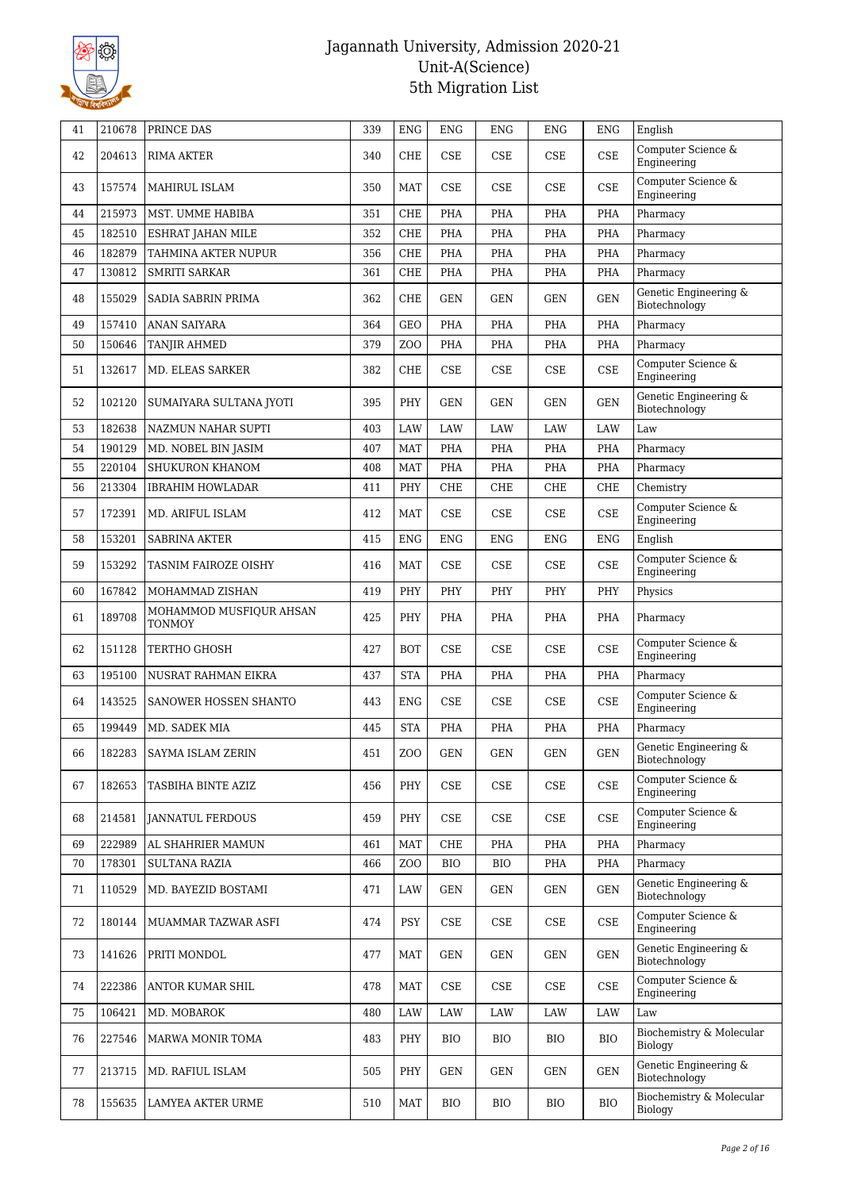

| 41 | 210678 | PRINCE DAS                               | 339 | <b>ENG</b>       | <b>ENG</b>                  | <b>ENG</b> | <b>ENG</b>                  | <b>ENG</b> | English                                |
|----|--------|------------------------------------------|-----|------------------|-----------------------------|------------|-----------------------------|------------|----------------------------------------|
| 42 | 204613 | RIMA AKTER                               | 340 | <b>CHE</b>       | <b>CSE</b>                  | <b>CSE</b> | CSE                         | <b>CSE</b> | Computer Science &<br>Engineering      |
| 43 | 157574 | MAHIRUL ISLAM                            | 350 | <b>MAT</b>       | <b>CSE</b>                  | <b>CSE</b> | CSE                         | <b>CSE</b> | Computer Science &<br>Engineering      |
| 44 | 215973 | MST. UMME HABIBA                         | 351 | <b>CHE</b>       | PHA                         | <b>PHA</b> | PHA                         | PHA        | Pharmacy                               |
| 45 | 182510 | ESHRAT JAHAN MILE                        | 352 | <b>CHE</b>       | PHA                         | <b>PHA</b> | PHA                         | PHA        | Pharmacy                               |
| 46 | 182879 | TAHMINA AKTER NUPUR                      | 356 | <b>CHE</b>       | PHA                         | PHA        | PHA                         | PHA        | Pharmacy                               |
| 47 | 130812 | <b>SMRITI SARKAR</b>                     | 361 | <b>CHE</b>       | PHA                         | PHA        | PHA                         | PHA        | Pharmacy                               |
| 48 | 155029 | SADIA SABRIN PRIMA                       | 362 | <b>CHE</b>       | <b>GEN</b>                  | <b>GEN</b> | <b>GEN</b>                  | <b>GEN</b> | Genetic Engineering &<br>Biotechnology |
| 49 | 157410 | ANAN SAIYARA                             | 364 | <b>GEO</b>       | PHA                         | <b>PHA</b> | PHA                         | PHA        | Pharmacy                               |
| 50 | 150646 | TANJIR AHMED                             | 379 | Z <sub>O</sub> O | <b>PHA</b>                  | PHA        | PHA                         | PHA        | Pharmacy                               |
| 51 | 132617 | MD. ELEAS SARKER                         | 382 | <b>CHE</b>       | <b>CSE</b>                  | <b>CSE</b> | CSE                         | <b>CSE</b> | Computer Science &<br>Engineering      |
| 52 | 102120 | SUMAIYARA SULTANA JYOTI                  | 395 | PHY              | <b>GEN</b>                  | <b>GEN</b> | <b>GEN</b>                  | <b>GEN</b> | Genetic Engineering &<br>Biotechnology |
| 53 | 182638 | NAZMUN NAHAR SUPTI                       | 403 | LAW              | LAW                         | LAW        | LAW                         | <b>LAW</b> | Law                                    |
| 54 | 190129 | MD. NOBEL BIN JASIM                      | 407 | <b>MAT</b>       | PHA                         | <b>PHA</b> | PHA                         | PHA        | Pharmacy                               |
| 55 | 220104 | SHUKURON KHANOM                          | 408 | <b>MAT</b>       | PHA                         | PHA        | PHA                         | PHA        | Pharmacy                               |
| 56 | 213304 | <b>IBRAHIM HOWLADAR</b>                  | 411 | PHY              | <b>CHE</b>                  | CHE        | <b>CHE</b>                  | <b>CHE</b> | Chemistry                              |
| 57 | 172391 | MD. ARIFUL ISLAM                         | 412 | <b>MAT</b>       | <b>CSE</b>                  | CSE        | CSE                         | <b>CSE</b> | Computer Science &<br>Engineering      |
| 58 | 153201 | <b>SABRINA AKTER</b>                     | 415 | <b>ENG</b>       | ENG                         | <b>ENG</b> | <b>ENG</b>                  | ENG        | English                                |
| 59 | 153292 | TASNIM FAIROZE OISHY                     | 416 | <b>MAT</b>       | <b>CSE</b>                  | <b>CSE</b> | CSE                         | <b>CSE</b> | Computer Science &<br>Engineering      |
| 60 | 167842 | MOHAMMAD ZISHAN                          | 419 | PHY              | PHY                         | PHY        | PHY                         | PHY        | Physics                                |
| 61 | 189708 | MOHAMMOD MUSFIQUR AHSAN<br><b>TONMOY</b> | 425 | PHY              | PHA                         | PHA        | PHA                         | PHA        | Pharmacy                               |
| 62 | 151128 | TERTHO GHOSH                             | 427 | <b>BOT</b>       | <b>CSE</b>                  | <b>CSE</b> | CSE                         | <b>CSE</b> | Computer Science &<br>Engineering      |
| 63 | 195100 | NUSRAT RAHMAN EIKRA                      | 437 | <b>STA</b>       | PHA                         | PHA        | PHA                         | PHA        | Pharmacy                               |
| 64 | 143525 | SANOWER HOSSEN SHANTO                    | 443 | ${\rm ENG}$      | <b>CSE</b>                  | <b>CSE</b> | $\ensuremath{\mathsf{CSE}}$ | <b>CSE</b> | Computer Science &<br>Engineering      |
| 65 | 199449 | MD. SADEK MIA                            | 445 | <b>STA</b>       | PHA                         | PHA        | PHA                         | PHA        | Pharmacy                               |
| 66 | 182283 | SAYMA ISLAM ZERIN                        | 451 | ZOO              | $\operatorname{GEN}$        | GEN        | $\operatorname{GEN}$        | GEN        | Genetic Engineering &<br>Biotechnology |
| 67 | 182653 | TASBIHA BINTE AZIZ                       | 456 | PHY              | $\ensuremath{\mathsf{CSE}}$ | CSE        | CSE                         | <b>CSE</b> | Computer Science &<br>Engineering      |
| 68 | 214581 | <b>JANNATUL FERDOUS</b>                  | 459 | PHY              | CSE                         | CSE        | CSE                         | CSE        | Computer Science &<br>Engineering      |
| 69 | 222989 | AL SHAHRIER MAMUN                        | 461 | <b>MAT</b>       | CHE                         | PHA        | PHA                         | PHA        | Pharmacy                               |
| 70 | 178301 | <b>SULTANA RAZIA</b>                     | 466 | Z <sub>O</sub> O | <b>BIO</b>                  | BIO        | PHA                         | PHA        | Pharmacy                               |
| 71 | 110529 | MD. BAYEZID BOSTAMI                      | 471 | LAW              | <b>GEN</b>                  | <b>GEN</b> | GEN                         | <b>GEN</b> | Genetic Engineering &<br>Biotechnology |
| 72 | 180144 | MUAMMAR TAZWAR ASFI                      | 474 | PSY              | $\ensuremath{\mathsf{CSE}}$ | CSE        | CSE                         | CSE        | Computer Science &<br>Engineering      |
| 73 | 141626 | PRITI MONDOL                             | 477 | <b>MAT</b>       | GEN                         | <b>GEN</b> | <b>GEN</b>                  | GEN        | Genetic Engineering &<br>Biotechnology |
| 74 | 222386 | ANTOR KUMAR SHIL                         | 478 | <b>MAT</b>       | CSE                         | CSE        | CSE                         | CSE        | Computer Science &<br>Engineering      |
| 75 | 106421 | MD. MOBAROK                              | 480 | LAW              | LAW                         | LAW        | LAW                         | LAW        | Law                                    |
| 76 | 227546 | MARWA MONIR TOMA                         | 483 | PHY              | <b>BIO</b>                  | BIO        | BIO                         | <b>BIO</b> | Biochemistry & Molecular<br>Biology    |
| 77 | 213715 | MD. RAFIUL ISLAM                         | 505 | PHY              | <b>GEN</b>                  | <b>GEN</b> | <b>GEN</b>                  | GEN        | Genetic Engineering &<br>Biotechnology |
| 78 | 155635 | LAMYEA AKTER URME                        | 510 | <b>MAT</b>       | <b>BIO</b>                  | BIO        | <b>BIO</b>                  | <b>BIO</b> | Biochemistry & Molecular<br>Biology    |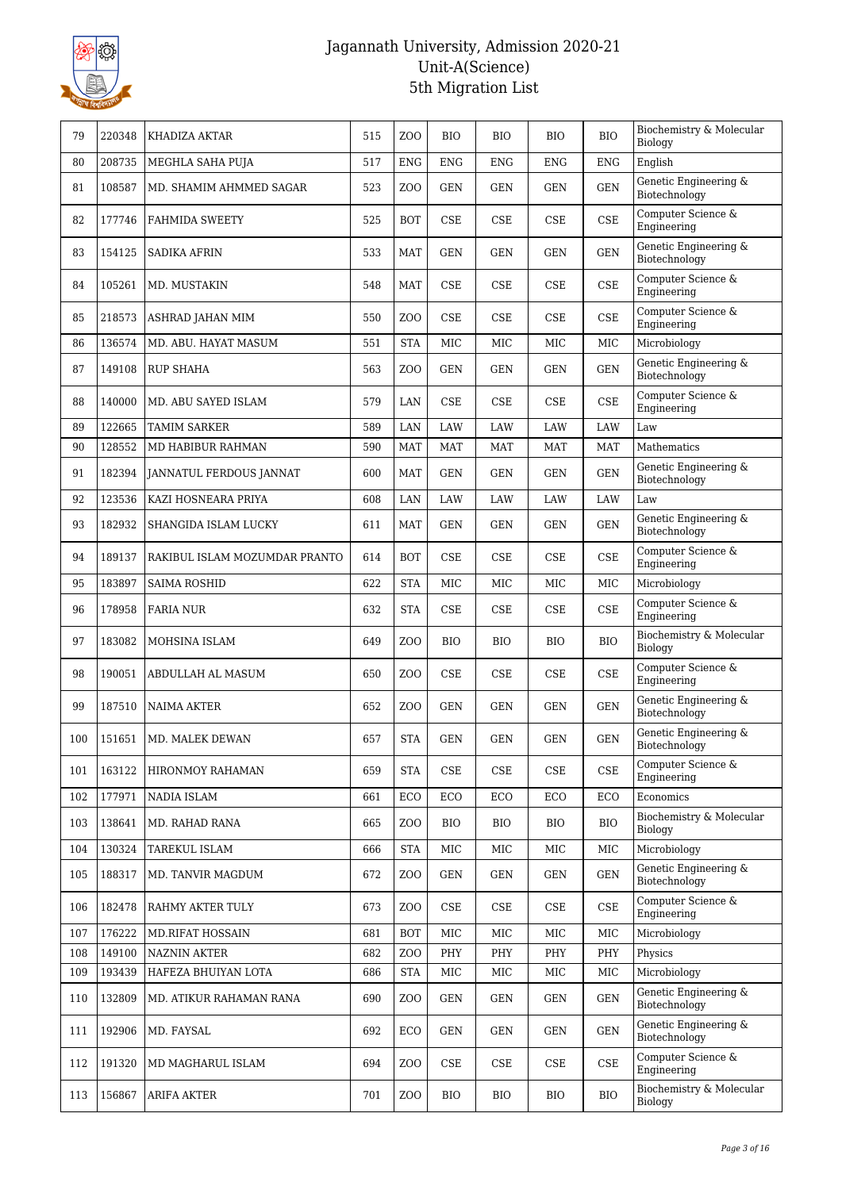

| 79  | 220348 | KHADIZA AKTAR                 | 515 | Z <sub>O</sub> O | <b>BIO</b> | <b>BIO</b> | <b>BIO</b>                  | <b>BIO</b>           | Biochemistry & Molecular<br>Biology    |
|-----|--------|-------------------------------|-----|------------------|------------|------------|-----------------------------|----------------------|----------------------------------------|
| 80  | 208735 | MEGHLA SAHA PUJA              | 517 | <b>ENG</b>       | <b>ENG</b> | <b>ENG</b> | <b>ENG</b>                  | <b>ENG</b>           | English                                |
| 81  | 108587 | MD. SHAMIM AHMMED SAGAR       | 523 | Z <sub>0</sub>   | <b>GEN</b> | <b>GEN</b> | <b>GEN</b>                  | <b>GEN</b>           | Genetic Engineering &<br>Biotechnology |
| 82  | 177746 | <b>FAHMIDA SWEETY</b>         | 525 | <b>BOT</b>       | <b>CSE</b> | <b>CSE</b> | CSE                         | <b>CSE</b>           | Computer Science &<br>Engineering      |
| 83  | 154125 | <b>SADIKA AFRIN</b>           | 533 | <b>MAT</b>       | <b>GEN</b> | <b>GEN</b> | <b>GEN</b>                  | <b>GEN</b>           | Genetic Engineering &<br>Biotechnology |
| 84  | 105261 | MD. MUSTAKIN                  | 548 | <b>MAT</b>       | <b>CSE</b> | CSE        | CSE                         | <b>CSE</b>           | Computer Science &<br>Engineering      |
| 85  | 218573 | ASHRAD JAHAN MIM              | 550 | Z <sub>0</sub>   | <b>CSE</b> | CSE        | CSE                         | <b>CSE</b>           | Computer Science &<br>Engineering      |
| 86  | 136574 | MD. ABU. HAYAT MASUM          | 551 | <b>STA</b>       | MIC        | MIC        | MIC                         | MIC                  | Microbiology                           |
| 87  | 149108 | <b>RUP SHAHA</b>              | 563 | ZO <sub>O</sub>  | <b>GEN</b> | <b>GEN</b> | <b>GEN</b>                  | <b>GEN</b>           | Genetic Engineering &<br>Biotechnology |
| 88  | 140000 | MD. ABU SAYED ISLAM           | 579 | LAN              | <b>CSE</b> | CSE        | CSE                         | <b>CSE</b>           | Computer Science &<br>Engineering      |
| 89  | 122665 | <b>TAMIM SARKER</b>           | 589 | LAN              | LAW        | LAW        | <b>LAW</b>                  | LAW                  | Law                                    |
| 90  | 128552 | MD HABIBUR RAHMAN             | 590 | <b>MAT</b>       | <b>MAT</b> | <b>MAT</b> | <b>MAT</b>                  | <b>MAT</b>           | Mathematics                            |
| 91  | 182394 | JANNATUL FERDOUS JANNAT       | 600 | <b>MAT</b>       | <b>GEN</b> | <b>GEN</b> | <b>GEN</b>                  | <b>GEN</b>           | Genetic Engineering &<br>Biotechnology |
| 92  | 123536 | KAZI HOSNEARA PRIYA           | 608 | LAN              | LAW        | LAW        | LAW                         | <b>LAW</b>           | Law                                    |
| 93  | 182932 | SHANGIDA ISLAM LUCKY          | 611 | MAT              | GEN        | GEN        | <b>GEN</b>                  | <b>GEN</b>           | Genetic Engineering &<br>Biotechnology |
| 94  | 189137 | RAKIBUL ISLAM MOZUMDAR PRANTO | 614 | <b>BOT</b>       | <b>CSE</b> | <b>CSE</b> | CSE                         | <b>CSE</b>           | Computer Science &<br>Engineering      |
| 95  | 183897 | <b>SAIMA ROSHID</b>           | 622 | <b>STA</b>       | <b>MIC</b> | MIC        | <b>MIC</b>                  | MIC                  | Microbiology                           |
| 96  | 178958 | <b>FARIA NUR</b>              | 632 | <b>STA</b>       | <b>CSE</b> | <b>CSE</b> | CSE                         | <b>CSE</b>           | Computer Science &<br>Engineering      |
| 97  | 183082 | MOHSINA ISLAM                 | 649 | Z <sub>0</sub>   | <b>BIO</b> | <b>BIO</b> | <b>BIO</b>                  | <b>BIO</b>           | Biochemistry & Molecular<br>Biology    |
| 98  | 190051 | ABDULLAH AL MASUM             | 650 | Z <sub>0</sub>   | <b>CSE</b> | CSE        | CSE                         | <b>CSE</b>           | Computer Science &<br>Engineering      |
| 99  | 187510 | <b>NAIMA AKTER</b>            | 652 | Z <sub>0</sub>   | <b>GEN</b> | <b>GEN</b> | <b>GEN</b>                  | <b>GEN</b>           | Genetic Engineering &<br>Biotechnology |
| 100 | 151651 | MD. MALEK DEWAN               | 657 | <b>STA</b>       | <b>GEN</b> | <b>GEN</b> | <b>GEN</b>                  | <b>GEN</b>           | Genetic Engineering &<br>Biotechnology |
| 101 | 163122 | HIRONMOY RAHAMAN              | 659 | <b>STA</b>       | CSE        | <b>CSE</b> | $\ensuremath{\mathsf{CSE}}$ | <b>CSE</b>           | Computer Science &<br>Engineering      |
| 102 | 177971 | <b>NADIA ISLAM</b>            | 661 | ECO              | ECO        | ECO        | ECO                         | ECO                  | Economics                              |
| 103 | 138641 | MD. RAHAD RANA                | 665 | Z <sub>O</sub> O | <b>BIO</b> | <b>BIO</b> | <b>BIO</b>                  | <b>BIO</b>           | Biochemistry & Molecular<br>Biology    |
| 104 | 130324 | TAREKUL ISLAM                 | 666 | <b>STA</b>       | MIC        | MIC        | MIC                         | MIC                  | Microbiology                           |
| 105 | 188317 | MD. TANVIR MAGDUM             | 672 | Z <sub>0</sub>   | GEN        | GEN        | <b>GEN</b>                  | <b>GEN</b>           | Genetic Engineering &<br>Biotechnology |
| 106 | 182478 | RAHMY AKTER TULY              | 673 | Z <sub>0</sub>   | <b>CSE</b> | CSE        | CSE                         | <b>CSE</b>           | Computer Science &<br>Engineering      |
| 107 | 176222 | <b>MD.RIFAT HOSSAIN</b>       | 681 | <b>BOT</b>       | MIC        | MIC        | $_{\rm MIC}$                | MIC                  | Microbiology                           |
| 108 | 149100 | <b>NAZNIN AKTER</b>           | 682 | ZO <sub>O</sub>  | PHY        | PHY        | PHY                         | PHY                  | Physics                                |
| 109 | 193439 | HAFEZA BHUIYAN LOTA           | 686 | <b>STA</b>       | MIC        | MIC        | MIC                         | MIC                  | Microbiology                           |
| 110 | 132809 | MD. ATIKUR RAHAMAN RANA       | 690 | Z <sub>0</sub>   | <b>GEN</b> | <b>GEN</b> | <b>GEN</b>                  | <b>GEN</b>           | Genetic Engineering &<br>Biotechnology |
| 111 | 192906 | MD. FAYSAL                    | 692 | ECO              | <b>GEN</b> | <b>GEN</b> | <b>GEN</b>                  | $\operatorname{GEN}$ | Genetic Engineering &<br>Biotechnology |
| 112 | 191320 | MD MAGHARUL ISLAM             | 694 | Z <sub>0</sub>   | CSE        | CSE        | CSE                         | <b>CSE</b>           | Computer Science &<br>Engineering      |
| 113 | 156867 | <b>ARIFA AKTER</b>            | 701 | ZOO              | BIO        | <b>BIO</b> | <b>BIO</b>                  | <b>BIO</b>           | Biochemistry & Molecular<br>Biology    |
|     |        |                               |     |                  |            |            |                             |                      |                                        |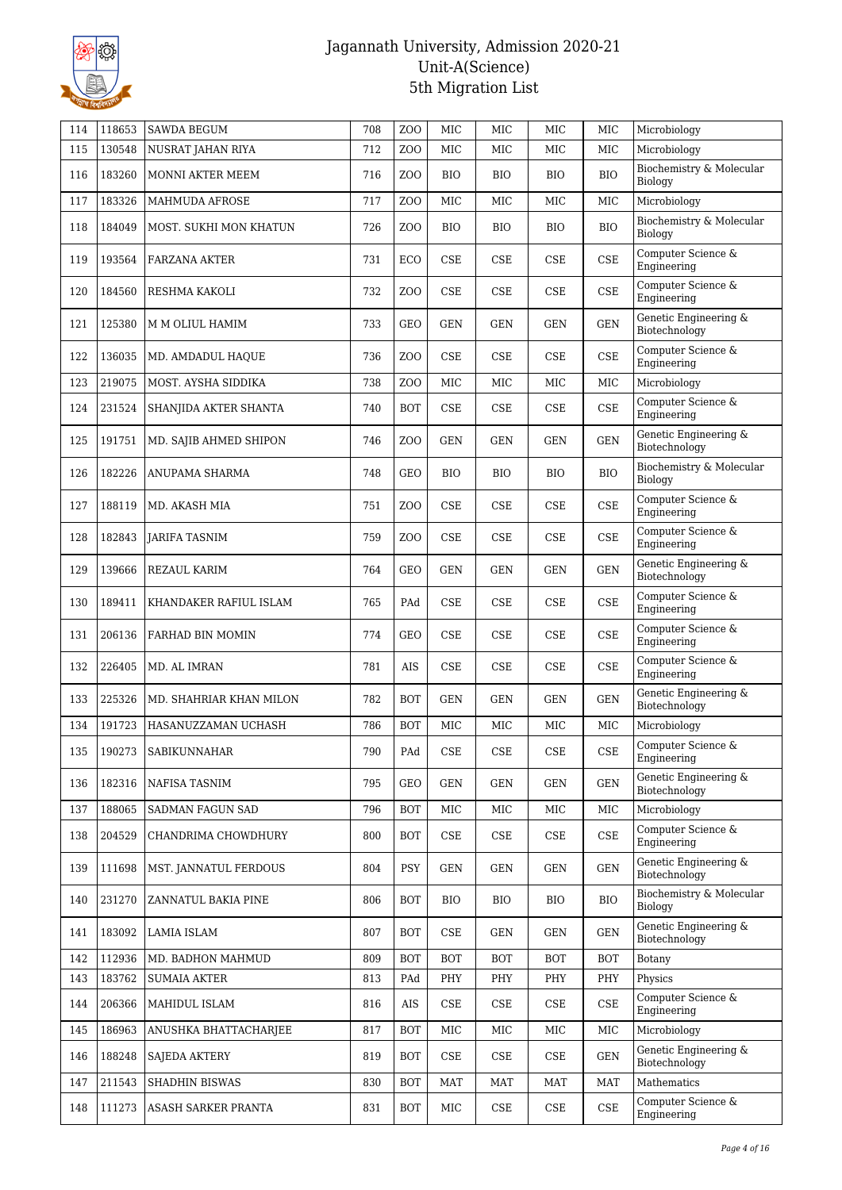

| 114 | 118653 | <b>SAWDA BEGUM</b>      | 708 | Z <sub>00</sub>  | MIC                         | MIC          | MIC          | MIC                         | Microbiology                           |
|-----|--------|-------------------------|-----|------------------|-----------------------------|--------------|--------------|-----------------------------|----------------------------------------|
| 115 | 130548 | NUSRAT JAHAN RIYA       | 712 | Z <sub>O</sub> O | MIC                         | MIC          | MIC          | MIC                         | Microbiology                           |
| 116 | 183260 | MONNI AKTER MEEM        | 716 | Z <sub>O</sub> O | <b>BIO</b>                  | <b>BIO</b>   | <b>BIO</b>   | <b>BIO</b>                  | Biochemistry & Molecular<br>Biology    |
| 117 | 183326 | <b>MAHMUDA AFROSE</b>   | 717 | Z <sub>O</sub> O | <b>MIC</b>                  | <b>MIC</b>   | <b>MIC</b>   | MIC                         | Microbiology                           |
| 118 | 184049 | MOST. SUKHI MON KHATUN  | 726 | Z <sub>O</sub> O | <b>BIO</b>                  | <b>BIO</b>   | <b>BIO</b>   | <b>BIO</b>                  | Biochemistry & Molecular<br>Biology    |
| 119 | 193564 | FARZANA AKTER           | 731 | ECO              | CSE                         | <b>CSE</b>   | CSE          | CSE                         | Computer Science &<br>Engineering      |
| 120 | 184560 | RESHMA KAKOLI           | 732 | Z <sub>O</sub> O | CSE                         | CSE          | <b>CSE</b>   | <b>CSE</b>                  | Computer Science &<br>Engineering      |
| 121 | 125380 | M M OLIUL HAMIM         | 733 | <b>GEO</b>       | <b>GEN</b>                  | <b>GEN</b>   | <b>GEN</b>   | <b>GEN</b>                  | Genetic Engineering &<br>Biotechnology |
| 122 | 136035 | MD. AMDADUL HAQUE       | 736 | Z <sub>O</sub> O | CSE                         | CSE          | CSE          | $\ensuremath{\mathsf{CSE}}$ | Computer Science &<br>Engineering      |
| 123 | 219075 | MOST. AYSHA SIDDIKA     | 738 | Z <sub>O</sub> O | MIC                         | MIC          | MIC          | MIC                         | Microbiology                           |
| 124 | 231524 | SHANJIDA AKTER SHANTA   | 740 | <b>BOT</b>       | <b>CSE</b>                  | CSE          | CSE          | <b>CSE</b>                  | Computer Science &<br>Engineering      |
| 125 | 191751 | MD. SAJIB AHMED SHIPON  | 746 | Z <sub>O</sub> O | <b>GEN</b>                  | <b>GEN</b>   | <b>GEN</b>   | <b>GEN</b>                  | Genetic Engineering &<br>Biotechnology |
| 126 | 182226 | ANUPAMA SHARMA          | 748 | <b>GEO</b>       | <b>BIO</b>                  | <b>BIO</b>   | <b>BIO</b>   | <b>BIO</b>                  | Biochemistry & Molecular<br>Biology    |
| 127 | 188119 | MD. AKASH MIA           | 751 | Z <sub>O</sub> O | CSE                         | <b>CSE</b>   | CSE          | CSE                         | Computer Science &<br>Engineering      |
| 128 | 182843 | JARIFA TASNIM           | 759 | Z <sub>O</sub> O | CSE                         | <b>CSE</b>   | <b>CSE</b>   | <b>CSE</b>                  | Computer Science &<br>Engineering      |
| 129 | 139666 | REZAUL KARIM            | 764 | <b>GEO</b>       | <b>GEN</b>                  | <b>GEN</b>   | GEN          | <b>GEN</b>                  | Genetic Engineering &<br>Biotechnology |
| 130 | 189411 | KHANDAKER RAFIUL ISLAM  | 765 | PAd              | CSE                         | CSE          | <b>CSE</b>   | CSE                         | Computer Science &<br>Engineering      |
| 131 | 206136 | FARHAD BIN MOMIN        | 774 | <b>GEO</b>       | CSE                         | CSE          | CSE          | CSE                         | Computer Science &<br>Engineering      |
| 132 | 226405 | MD. AL IMRAN            | 781 | AIS              | CSE                         | <b>CSE</b>   | <b>CSE</b>   | <b>CSE</b>                  | Computer Science &<br>Engineering      |
| 133 | 225326 | MD. SHAHRIAR KHAN MILON | 782 | <b>BOT</b>       | <b>GEN</b>                  | <b>GEN</b>   | <b>GEN</b>   | <b>GEN</b>                  | Genetic Engineering &<br>Biotechnology |
| 134 | 191723 | HASANUZZAMAN UCHASH     | 786 | <b>BOT</b>       | MIC                         | MIC          | MIC          | MIC                         | Microbiology                           |
| 135 | 190273 | SABIKUNNAHAR            | 790 | PAd              | <b>CSE</b>                  | <b>CSE</b>   | CSE          | <b>CSE</b>                  | Computer Science &<br>Engineering      |
| 136 | 182316 | NAFISA TASNIM           | 795 | GEO              | <b>GEN</b>                  | <b>GEN</b>   | GEN          | <b>GEN</b>                  | Genetic Engineering &<br>Biotechnology |
| 137 | 188065 | SADMAN FAGUN SAD        | 796 | BOT              | $_{\rm MIC}$                | $_{\rm MIC}$ | $_{\rm MIC}$ | $_{\rm MIC}$                | Microbiology                           |
| 138 | 204529 | CHANDRIMA CHOWDHURY     | 800 | <b>BOT</b>       | CSE                         | CSE          | CSE          | <b>CSE</b>                  | Computer Science &<br>Engineering      |
| 139 | 111698 | MST. JANNATUL FERDOUS   | 804 | <b>PSY</b>       | <b>GEN</b>                  | <b>GEN</b>   | GEN          | <b>GEN</b>                  | Genetic Engineering &<br>Biotechnology |
| 140 | 231270 | ZANNATUL BAKIA PINE     | 806 | <b>BOT</b>       | <b>BIO</b>                  | BIO          | <b>BIO</b>   | <b>BIO</b>                  | Biochemistry & Molecular<br>Biology    |
| 141 | 183092 | LAMIA ISLAM             | 807 | BOT              | CSE                         | <b>GEN</b>   | GEN          | <b>GEN</b>                  | Genetic Engineering &<br>Biotechnology |
| 142 | 112936 | MD. BADHON MAHMUD       | 809 | <b>BOT</b>       | <b>BOT</b>                  | <b>BOT</b>   | BOT          | <b>BOT</b>                  | Botany                                 |
| 143 | 183762 | <b>SUMAIA AKTER</b>     | 813 | PAd              | PHY                         | PHY          | PHY          | PHY                         | Physics                                |
| 144 | 206366 | MAHIDUL ISLAM           | 816 | AIS              | $\ensuremath{\mathsf{CSE}}$ | CSE          | CSE          | $\rm CSE$                   | Computer Science &<br>Engineering      |
| 145 | 186963 | ANUSHKA BHATTACHARJEE   | 817 | <b>BOT</b>       | MIC                         | $_{\rm MIC}$ | $_{\rm MIC}$ | $_{\rm MIC}$                | Microbiology                           |
| 146 | 188248 | <b>SAJEDA AKTERY</b>    | 819 | <b>BOT</b>       | CSE                         | CSE          | CSE          | <b>GEN</b>                  | Genetic Engineering &<br>Biotechnology |
| 147 | 211543 | SHADHIN BISWAS          | 830 | <b>BOT</b>       | MAT                         | MAT          | MAT          | MAT                         | Mathematics                            |
| 148 | 111273 | ASASH SARKER PRANTA     | 831 | <b>BOT</b>       | MIC                         | CSE          | CSE          | <b>CSE</b>                  | Computer Science &<br>Engineering      |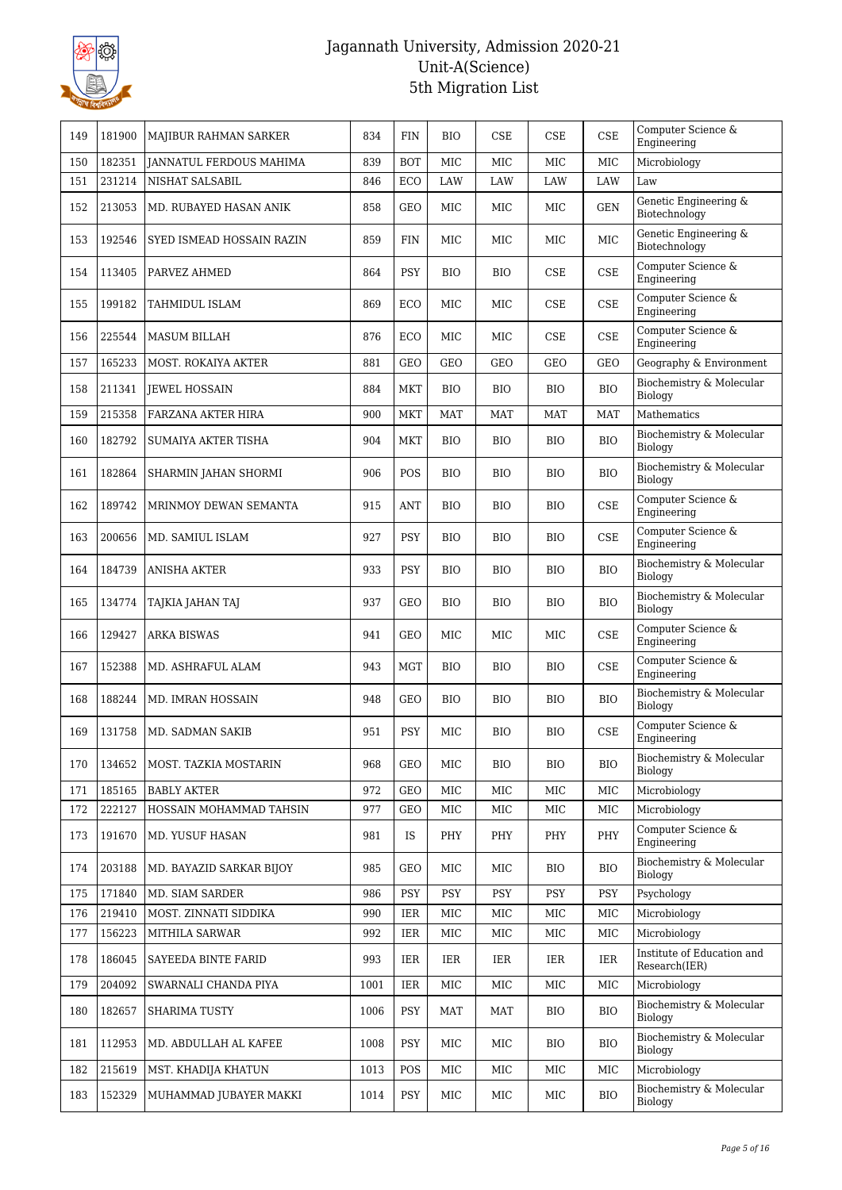

| 149 | 181900 | MAJIBUR RAHMAN SARKER          | 834  | FIN        | <b>BIO</b> | CSE        | CSE        | <b>CSE</b> | Computer Science &<br>Engineering           |
|-----|--------|--------------------------------|------|------------|------------|------------|------------|------------|---------------------------------------------|
| 150 | 182351 | <b>JANNATUL FERDOUS MAHIMA</b> | 839  | <b>BOT</b> | <b>MIC</b> | MIC        | MIC        | MIC        | Microbiology                                |
| 151 | 231214 | NISHAT SALSABIL                | 846  | ECO        | <b>LAW</b> | LAW        | <b>LAW</b> | LAW        | Law                                         |
| 152 | 213053 | MD. RUBAYED HASAN ANIK         | 858  | <b>GEO</b> | MIC        | MIC        | <b>MIC</b> | <b>GEN</b> | Genetic Engineering &<br>Biotechnology      |
| 153 | 192546 | SYED ISMEAD HOSSAIN RAZIN      | 859  | <b>FIN</b> | MIC        | MIC        | MIC        | MIC        | Genetic Engineering &<br>Biotechnology      |
| 154 | 113405 | PARVEZ AHMED                   | 864  | PSY        | <b>BIO</b> | <b>BIO</b> | CSE        | <b>CSE</b> | Computer Science &<br>Engineering           |
| 155 | 199182 | TAHMIDUL ISLAM                 | 869  | ECO        | <b>MIC</b> | <b>MIC</b> | CSE        | <b>CSE</b> | Computer Science &<br>Engineering           |
| 156 | 225544 | <b>MASUM BILLAH</b>            | 876  | ECO        | MIC        | MIC        | CSE        | <b>CSE</b> | Computer Science &<br>Engineering           |
| 157 | 165233 | MOST. ROKAIYA AKTER            | 881  | <b>GEO</b> | <b>GEO</b> | <b>GEO</b> | <b>GEO</b> | GEO        | Geography & Environment                     |
| 158 | 211341 | <b>JEWEL HOSSAIN</b>           | 884  | <b>MKT</b> | <b>BIO</b> | <b>BIO</b> | <b>BIO</b> | <b>BIO</b> | Biochemistry & Molecular<br>Biology         |
| 159 | 215358 | FARZANA AKTER HIRA             | 900  | <b>MKT</b> | <b>MAT</b> | <b>MAT</b> | <b>MAT</b> | <b>MAT</b> | Mathematics                                 |
| 160 | 182792 | SUMAIYA AKTER TISHA            | 904  | <b>MKT</b> | BIO        | BIO        | <b>BIO</b> | <b>BIO</b> | Biochemistry & Molecular<br>Biology         |
| 161 | 182864 | SHARMIN JAHAN SHORMI           | 906  | <b>POS</b> | <b>BIO</b> | <b>BIO</b> | <b>BIO</b> | <b>BIO</b> | Biochemistry & Molecular<br>Biology         |
| 162 | 189742 | MRINMOY DEWAN SEMANTA          | 915  | <b>ANT</b> | <b>BIO</b> | <b>BIO</b> | <b>BIO</b> | <b>CSE</b> | Computer Science &<br>Engineering           |
| 163 | 200656 | MD. SAMIUL ISLAM               | 927  | <b>PSY</b> | <b>BIO</b> | <b>BIO</b> | <b>BIO</b> | <b>CSE</b> | Computer Science &<br>Engineering           |
| 164 | 184739 | <b>ANISHA AKTER</b>            | 933  | <b>PSY</b> | BIO        | BIO        | <b>BIO</b> | <b>BIO</b> | Biochemistry & Molecular<br>Biology         |
| 165 | 134774 | TAJKIA JAHAN TAJ               | 937  | <b>GEO</b> | <b>BIO</b> | <b>BIO</b> | <b>BIO</b> | <b>BIO</b> | Biochemistry & Molecular<br>Biology         |
| 166 | 129427 | <b>ARKA BISWAS</b>             | 941  | <b>GEO</b> | <b>MIC</b> | <b>MIC</b> | MIC        | <b>CSE</b> | Computer Science &<br>Engineering           |
| 167 | 152388 | MD. ASHRAFUL ALAM              | 943  | <b>MGT</b> | BIO        | <b>BIO</b> | <b>BIO</b> | <b>CSE</b> | Computer Science &<br>Engineering           |
| 168 | 188244 | <b>MD. IMRAN HOSSAIN</b>       | 948  | GEO        | BIO        | BIO        | <b>BIO</b> | <b>BIO</b> | Biochemistry & Molecular<br>Biology         |
| 169 | 131758 | MD. SADMAN SAKIB               | 951  | PSY        | MIC        | BIO        | <b>BIO</b> | <b>CSE</b> | Computer Science &<br>Engineering           |
| 170 | 134652 | MOST. TAZKIA MOSTARIN          | 968  | GEO        | $\rm MIC$  | <b>BIO</b> | <b>BIO</b> | <b>BIO</b> | Biochemistry & Molecular<br>Biology         |
| 171 | 185165 | <b>BABLY AKTER</b>             | 972  | <b>GEO</b> | MIC        | MIC        | MIC        | MIC        | Microbiology                                |
| 172 | 222127 | HOSSAIN MOHAMMAD TAHSIN        | 977  | GEO        | MIC        | MIC        | MIC        | MIC        | Microbiology                                |
| 173 | 191670 | MD. YUSUF HASAN                | 981  | IS         | PHY        | PHY        | PHY        | PHY        | Computer Science &<br>Engineering           |
| 174 | 203188 | MD. BAYAZID SARKAR BIJOY       | 985  | GEO        | MIC        | MIC        | <b>BIO</b> | <b>BIO</b> | Biochemistry & Molecular<br>Biology         |
| 175 | 171840 | MD. SIAM SARDER                | 986  | PSY        | PSY        | <b>PSY</b> | PSY        | <b>PSY</b> | Psychology                                  |
| 176 | 219410 | MOST. ZINNATI SIDDIKA          | 990  | IER        | MIC        | MIC        | MIC        | MIC        | Microbiology                                |
| 177 | 156223 | MITHILA SARWAR                 | 992  | IER        | MIC        | MIC        | MIC        | MIC        | Microbiology                                |
| 178 | 186045 | SAYEEDA BINTE FARID            | 993  | IER        | IER        | IER        | IER        | IER        | Institute of Education and<br>Research(IER) |
| 179 | 204092 | SWARNALI CHANDA PIYA           | 1001 | IER        | MIC        | MIC        | MIC        | MIC        | Microbiology                                |
| 180 | 182657 | <b>SHARIMA TUSTY</b>           | 1006 | <b>PSY</b> | MAT        | MAT        | BIO        | BIO        | Biochemistry & Molecular<br>Biology         |
| 181 | 112953 | MD. ABDULLAH AL KAFEE          | 1008 | <b>PSY</b> | MIC        | MIC        | <b>BIO</b> | <b>BIO</b> | Biochemistry & Molecular<br>Biology         |
| 182 | 215619 | MST. KHADIJA KHATUN            | 1013 | POS        | MIC        | MIC        | MIC        | MIC        | Microbiology                                |
| 183 | 152329 | MUHAMMAD JUBAYER MAKKI         | 1014 | PSY        | MIC        | MIC        | MIC        | <b>BIO</b> | Biochemistry & Molecular<br>Biology         |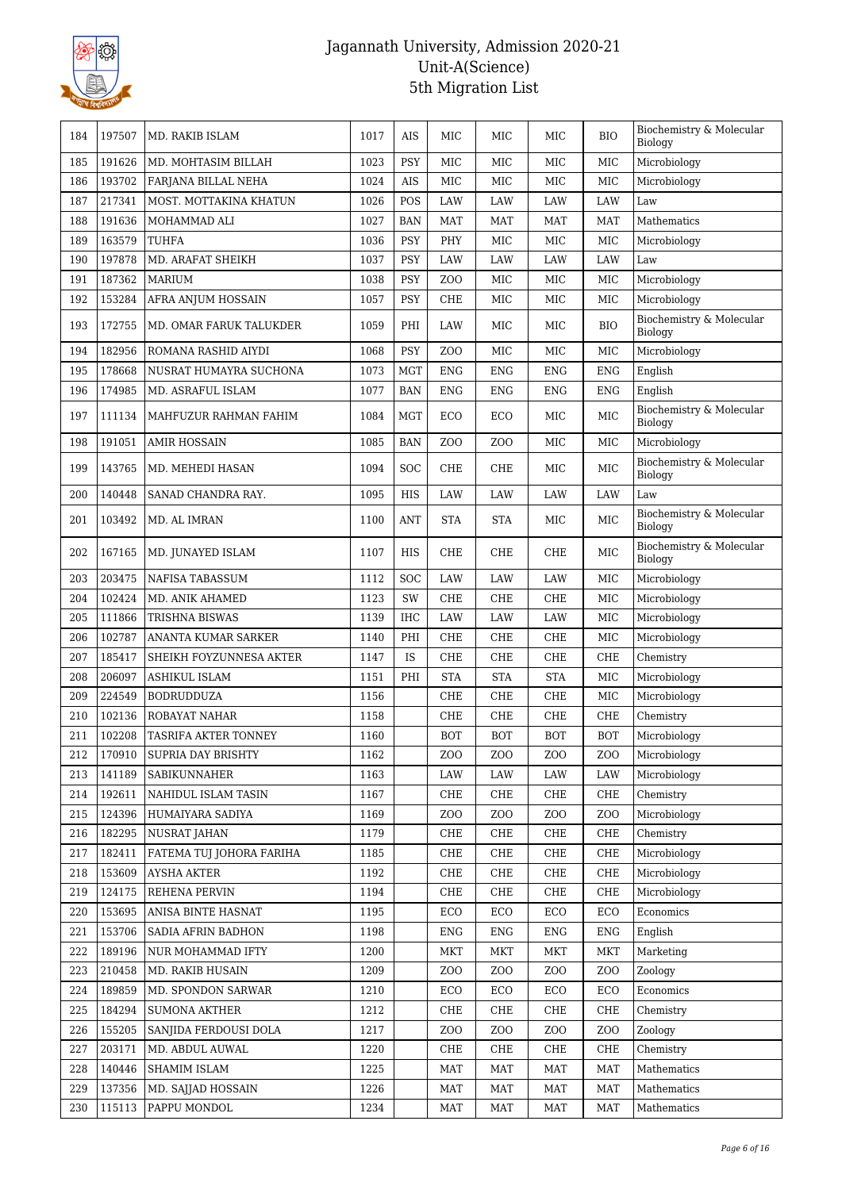

| 184 | 197507 | MD. RAKIB ISLAM           | 1017 | AIS        | MIC              | MIC              | MIC             | <b>BIO</b>       | Biochemistry & Molecular<br>Biology |
|-----|--------|---------------------------|------|------------|------------------|------------------|-----------------|------------------|-------------------------------------|
| 185 | 191626 | MD. MOHTASIM BILLAH       | 1023 | PSY        | MIC              | <b>MIC</b>       | MIC             | MIC              | Microbiology                        |
| 186 | 193702 | FARJANA BILLAL NEHA       | 1024 | AIS        | MIC              | MIC              | MIC             | MIC              | Microbiology                        |
| 187 | 217341 | MOST. MOTTAKINA KHATUN    | 1026 | POS        | <b>LAW</b>       | LAW              | LAW             | <b>LAW</b>       | Law                                 |
| 188 | 191636 | MOHAMMAD ALI              | 1027 | <b>BAN</b> | <b>MAT</b>       | <b>MAT</b>       | <b>MAT</b>      | MAT              | Mathematics                         |
| 189 | 163579 | TUHFA                     | 1036 | PSY        | PHY              | MIC              | $_{\rm MIC}$    | MIC              | Microbiology                        |
| 190 | 197878 | MD. ARAFAT SHEIKH         | 1037 | <b>PSY</b> | LAW              | LAW              | LAW             | LAW              | Law                                 |
| 191 | 187362 | <b>MARIUM</b>             | 1038 | PSY        | ZO <sub>O</sub>  | MIC              | MIC             | MIC              | Microbiology                        |
| 192 | 153284 | AFRA ANJUM HOSSAIN        | 1057 | PSY        | CHE              | MIC              | MIC             | MIC              | Microbiology                        |
| 193 | 172755 | MD. OMAR FARUK TALUKDER   | 1059 | PHI        | LAW              | MIC              | MIC             | <b>BIO</b>       | Biochemistry & Molecular<br>Biology |
| 194 | 182956 | ROMANA RASHID AIYDI       | 1068 | <b>PSY</b> | Z <sub>0</sub>   | MIC              | MIC             | MIC              | Microbiology                        |
| 195 | 178668 | NUSRAT HUMAYRA SUCHONA    | 1073 | <b>MGT</b> | <b>ENG</b>       | <b>ENG</b>       | <b>ENG</b>      | <b>ENG</b>       | English                             |
| 196 | 174985 | MD. ASRAFUL ISLAM         | 1077 | <b>BAN</b> | <b>ENG</b>       | <b>ENG</b>       | <b>ENG</b>      | <b>ENG</b>       | English                             |
| 197 | 111134 | MAHFUZUR RAHMAN FAHIM     | 1084 | <b>MGT</b> | ECO              | ECO              | MIC             | MIC              | Biochemistry & Molecular<br>Biology |
| 198 | 191051 | <b>AMIR HOSSAIN</b>       | 1085 | <b>BAN</b> | ZO <sub>O</sub>  | Z <sub>O</sub> O | MIC             | MIC              | Microbiology                        |
| 199 | 143765 | MD. MEHEDI HASAN          | 1094 | <b>SOC</b> | CHE              | CHE              | MIC             | MIC              | Biochemistry & Molecular<br>Biology |
| 200 | 140448 | SANAD CHANDRA RAY.        | 1095 | HIS        | LAW              | LAW              | LAW             | LAW              | Law                                 |
| 201 | 103492 | MD. AL IMRAN              | 1100 | <b>ANT</b> | <b>STA</b>       | <b>STA</b>       | MIC             | MIC              | Biochemistry & Molecular<br>Biology |
| 202 | 167165 | MD. JUNAYED ISLAM         | 1107 | HIS        | CHE              | CHE              | CHE             | MIC              | Biochemistry & Molecular<br>Biology |
| 203 | 203475 | NAFISA TABASSUM           | 1112 | SOC        | <b>LAW</b>       | LAW              | LAW             | MIC              | Microbiology                        |
| 204 | 102424 | MD. ANIK AHAMED           | 1123 | SW         | CHE              | CHE              | CHE             | MIC              | Microbiology                        |
| 205 | 111866 | TRISHNA BISWAS            | 1139 | IHC        | LAW              | LAW              | LAW             | MIC              | Microbiology                        |
| 206 | 102787 | ANANTA KUMAR SARKER       | 1140 | PHI        | CHE              | CHE              | CHE             | MIC              | Microbiology                        |
| 207 | 185417 | SHEIKH FOYZUNNESA AKTER   | 1147 | <b>IS</b>  | CHE              | CHE              | CHE             | CHE              | Chemistry                           |
| 208 | 206097 | <b>ASHIKUL ISLAM</b>      | 1151 | PHI        | <b>STA</b>       | <b>STA</b>       | <b>STA</b>      | MIC              | Microbiology                        |
| 209 | 224549 | <b>BODRUDDUZA</b>         | 1156 |            | CHE              | CHE              | CHE             | MIC              | Microbiology                        |
| 210 | 102136 | ROBAYAT NAHAR             | 1158 |            | CHE              | CHE              | CHE             | CHE              | Chemistry                           |
| 211 | 102208 | TASRIFA AKTER TONNEY      | 1160 |            | <b>BOT</b>       | <b>BOT</b>       | <b>BOT</b>      | <b>BOT</b>       | Microbiology                        |
| 212 | 170910 | <b>SUPRIA DAY BRISHTY</b> | 1162 |            | ZOO              | ZOO              | ZOO             | ZOO              | Microbiology                        |
| 213 | 141189 | SABIKUNNAHER              | 1163 |            | LAW              | LAW              | LAW             | LAW              | Microbiology                        |
| 214 | 192611 | NAHIDUL ISLAM TASIN       | 1167 |            | CHE              | CHE              | CHE             | CHE              | Chemistry                           |
| 215 | 124396 | HUMAIYARA SADIYA          | 1169 |            | Z <sub>O</sub> O | ZO <sub>O</sub>  | ZOO             | Z <sub>O</sub> O | Microbiology                        |
| 216 | 182295 | <b>NUSRAT JAHAN</b>       | 1179 |            | CHE              | CHE              | CHE             | CHE              | Chemistry                           |
| 217 | 182411 | FATEMA TUJ JOHORA FARIHA  | 1185 |            | CHE              | CHE              | CHE             | CHE              | Microbiology                        |
| 218 | 153609 | <b>AYSHA AKTER</b>        | 1192 |            | CHE              | CHE              | CHE             | CHE              | Microbiology                        |
| 219 | 124175 | REHENA PERVIN             | 1194 |            | CHE              | CHE              | CHE             | CHE              | Microbiology                        |
| 220 | 153695 | ANISA BINTE HASNAT        | 1195 |            | ECO              | ECO              | ECO             | ECO              | Economics                           |
| 221 | 153706 | SADIA AFRIN BADHON        | 1198 |            | <b>ENG</b>       | <b>ENG</b>       | <b>ENG</b>      | ENG              | English                             |
| 222 | 189196 | NUR MOHAMMAD IFTY         | 1200 |            | <b>MKT</b>       | <b>MKT</b>       | MKT             | <b>MKT</b>       | Marketing                           |
| 223 | 210458 | MD. RAKIB HUSAIN          | 1209 |            | Z <sub>O</sub> O | Z <sub>O</sub> O | ZOO             | Z <sub>O</sub> O | Zoology                             |
| 224 | 189859 | MD. SPONDON SARWAR        | 1210 |            | ECO              | ECO              | ECO             | ECO              | Economics                           |
| 225 | 184294 | SUMONA AKTHER             | 1212 |            | CHE              | CHE              | CHE             | CHE              | Chemistry                           |
| 226 | 155205 | SANJIDA FERDOUSI DOLA     | 1217 |            | Z <sub>O</sub> O | ZOO              | ZO <sub>O</sub> | ZOO              | Zoology                             |
| 227 | 203171 | MD. ABDUL AUWAL           | 1220 |            | CHE              | CHE              | CHE             | CHE              | Chemistry                           |
| 228 | 140446 | SHAMIM ISLAM              | 1225 |            | <b>MAT</b>       | <b>MAT</b>       | <b>MAT</b>      | <b>MAT</b>       | Mathematics                         |
| 229 | 137356 | MD. SAJJAD HOSSAIN        | 1226 |            | <b>MAT</b>       | MAT              | MAT             | MAT              | Mathematics                         |
| 230 | 115113 | PAPPU MONDOL              | 1234 |            | <b>MAT</b>       | <b>MAT</b>       | <b>MAT</b>      | <b>MAT</b>       | Mathematics                         |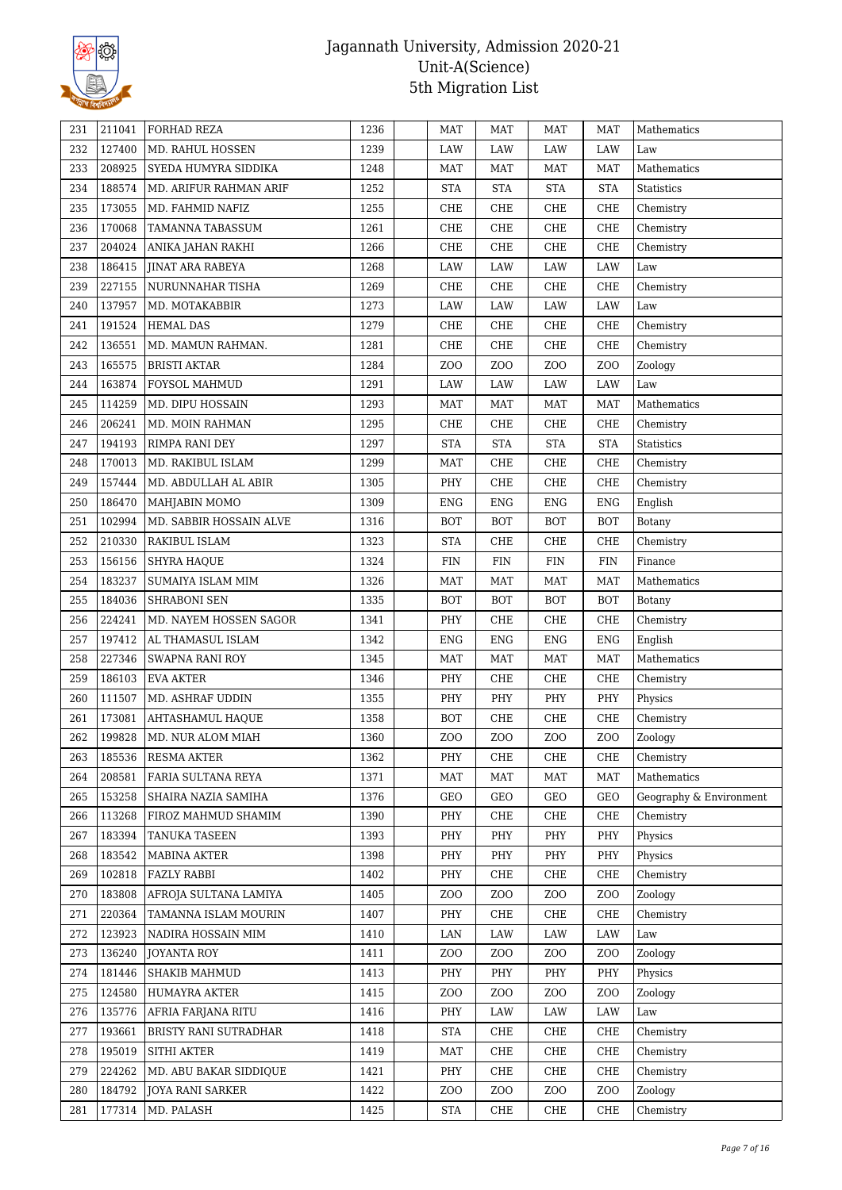

| 231 | 211041 | <b>FORHAD REZA</b>            | 1236 | <b>MAT</b>       | <b>MAT</b>       | MAT             | <b>MAT</b>       | Mathematics             |
|-----|--------|-------------------------------|------|------------------|------------------|-----------------|------------------|-------------------------|
| 232 | 127400 | MD. RAHUL HOSSEN              | 1239 | LAW              | LAW              | LAW             | LAW              | Law                     |
| 233 | 208925 | SYEDA HUMYRA SIDDIKA          | 1248 | <b>MAT</b>       | <b>MAT</b>       | <b>MAT</b>      | <b>MAT</b>       | Mathematics             |
| 234 | 188574 | MD. ARIFUR RAHMAN ARIF        | 1252 | <b>STA</b>       | <b>STA</b>       | <b>STA</b>      | <b>STA</b>       | Statistics              |
| 235 | 173055 | MD. FAHMID NAFIZ              | 1255 | CHE              | CHE              | CHE             | CHE              | Chemistry               |
| 236 | 170068 | TAMANNA TABASSUM              | 1261 | CHE              | CHE              | CHE             | CHE              | Chemistry               |
| 237 | 204024 | ANIKA JAHAN RAKHI             | 1266 | CHE              | CHE              | CHE             | CHE              | Chemistry               |
| 238 | 186415 | <b>JINAT ARA RABEYA</b>       | 1268 | LAW              | LAW              | LAW             | LAW              | Law                     |
| 239 | 227155 | NURUNNAHAR TISHA              | 1269 | CHE              | CHE              | CHE             | CHE              | Chemistry               |
| 240 | 137957 | MD. MOTAKABBIR                | 1273 | LAW              | LAW              | LAW             | LAW              | Law                     |
| 241 | 191524 | <b>HEMAL DAS</b>              | 1279 | CHE              | CHE              | CHE             | CHE              | Chemistry               |
| 242 | 136551 | MD. MAMUN RAHMAN.             | 1281 | CHE              | CHE              | CHE             | CHE              | Chemistry               |
| 243 | 165575 | <b>BRISTI AKTAR</b>           | 1284 | ZO <sub>O</sub>  | Z <sub>0</sub>   | ZOO             | Z <sub>0</sub>   | Zoology                 |
| 244 | 163874 | FOYSOL MAHMUD                 | 1291 | LAW              | LAW              | LAW             | LAW              | Law                     |
| 245 | 114259 | MD. DIPU HOSSAIN              | 1293 | <b>MAT</b>       | <b>MAT</b>       | MAT             | <b>MAT</b>       | Mathematics             |
| 246 | 206241 | MD. MOIN RAHMAN               | 1295 | CHE              | CHE              | CHE             | CHE              | Chemistry               |
| 247 | 194193 | RIMPA RANI DEY                | 1297 | <b>STA</b>       | <b>STA</b>       | <b>STA</b>      | <b>STA</b>       | <b>Statistics</b>       |
| 248 | 170013 | MD. RAKIBUL ISLAM             | 1299 | <b>MAT</b>       | CHE              | CHE             | CHE              | Chemistry               |
| 249 | 157444 | MD. ABDULLAH AL ABIR          | 1305 | PHY              | CHE              | CHE             | CHE              | Chemistry               |
| 250 | 186470 | MAHJABIN MOMO                 | 1309 | <b>ENG</b>       | <b>ENG</b>       | <b>ENG</b>      | <b>ENG</b>       | English                 |
| 251 | 102994 | MD. SABBIR HOSSAIN ALVE       | 1316 | <b>BOT</b>       | <b>BOT</b>       | <b>BOT</b>      | <b>BOT</b>       | Botany                  |
| 252 | 210330 | RAKIBUL ISLAM                 | 1323 | <b>STA</b>       | CHE              | CHE             | CHE              | Chemistry               |
| 253 | 156156 | <b>SHYRA HAQUE</b>            | 1324 | FIN              | FIN              | FIN             | FIN              | Finance                 |
| 254 | 183237 | SUMAIYA ISLAM MIM             | 1326 | <b>MAT</b>       | <b>MAT</b>       | <b>MAT</b>      | <b>MAT</b>       | Mathematics             |
| 255 | 184036 | <b>SHRABONI SEN</b>           | 1335 | <b>BOT</b>       | <b>BOT</b>       | <b>BOT</b>      | BOT              | <b>Botany</b>           |
| 256 | 224241 | MD. NAYEM HOSSEN SAGOR        | 1341 | PHY              | CHE              | CHE             | CHE              | Chemistry               |
| 257 | 197412 | AL THAMASUL ISLAM             | 1342 | <b>ENG</b>       | <b>ENG</b>       | <b>ENG</b>      | <b>ENG</b>       | English                 |
| 258 | 227346 | SWAPNA RANI ROY               | 1345 | <b>MAT</b>       | <b>MAT</b>       | <b>MAT</b>      | <b>MAT</b>       | Mathematics             |
| 259 | 186103 |                               | 1346 | PHY              | CHE              |                 |                  |                         |
| 260 | 111507 | EVA AKTER<br>MD. ASHRAF UDDIN | 1355 | PHY              | PHY              | CHE<br>PHY      | CHE<br>PHY       | Chemistry               |
|     |        |                               |      |                  |                  |                 |                  | Physics                 |
| 261 | 173081 | AHTASHAMUL HAQUE              | 1358 | <b>BOT</b>       | CHE              | CHE             | CHE              | Chemistry               |
| 262 | 199828 | MD. NUR ALOM MIAH             | 1360 | Z <sub>O</sub> O | ZO <sub>O</sub>  | ZOO             | Z <sub>0</sub>   | Zoology                 |
| 263 | 185536 | <b>RESMA AKTER</b>            | 1362 | PHY              | CHE              | CHE             | CHE              | Chemistry               |
| 264 | 208581 | FARIA SULTANA REYA            | 1371 | <b>MAT</b>       | <b>MAT</b>       | MAT             | <b>MAT</b>       | Mathematics             |
| 265 | 153258 | SHAIRA NAZIA SAMIHA           | 1376 | <b>GEO</b>       | GEO              | GEO             | GEO              | Geography & Environment |
| 266 | 113268 | FIROZ MAHMUD SHAMIM           | 1390 | PHY              | CHE              | CHE             | CHE              | Chemistry               |
| 267 | 183394 | TANUKA TASEEN                 | 1393 | PHY              | PHY              | PHY             | PHY              | Physics                 |
| 268 | 183542 | MABINA AKTER                  | 1398 | PHY              | PHY              | PHY             | PHY              | Physics                 |
| 269 | 102818 | FAZLY RABBI                   | 1402 | PHY              | CHE              | CHE             | CHE              | Chemistry               |
| 270 | 183808 | AFROJA SULTANA LAMIYA         | 1405 | ZO <sub>O</sub>  | Z <sub>O</sub> O | ZO <sub>O</sub> | ZO <sub>O</sub>  | Zoology                 |
| 271 | 220364 | TAMANNA ISLAM MOURIN          | 1407 | PHY              | CHE              | CHE             | CHE              | Chemistry               |
| 272 | 123923 | NADIRA HOSSAIN MIM            | 1410 | LAN              | LAW              | LAW             | LAW              | Law                     |
| 273 | 136240 | JOYANTA ROY                   | 1411 | Z <sub>O</sub> O | Z <sub>O</sub> O | ZOO             | ZOO              | Zoology                 |
| 274 | 181446 | <b>SHAKIB MAHMUD</b>          | 1413 | PHY              | PHY              | PHY             | PHY              | Physics                 |
| 275 | 124580 | HUMAYRA AKTER                 | 1415 | Z <sub>O</sub> O | Z <sub>O</sub> O | ZOO             | Z <sub>O</sub> O | Zoology                 |
| 276 | 135776 | AFRIA FARJANA RITU            | 1416 | PHY              | LAW              | LAW             | LAW              | Law                     |
| 277 | 193661 | BRISTY RANI SUTRADHAR         | 1418 | <b>STA</b>       | CHE              | CHE             | CHE              | Chemistry               |
| 278 | 195019 | <b>SITHI AKTER</b>            | 1419 | <b>MAT</b>       | CHE              | CHE             | CHE              | Chemistry               |
| 279 | 224262 | MD. ABU BAKAR SIDDIQUE        | 1421 | PHY              | CHE              | CHE             | CHE              | Chemistry               |
| 280 | 184792 | <b>JOYA RANI SARKER</b>       | 1422 | Z <sub>O</sub> O | Z <sub>O</sub> O | ZOO             | Z <sub>O</sub> O | Zoology                 |
| 281 | 177314 | MD. PALASH                    | 1425 | <b>STA</b>       | CHE              | CHE             | CHE              | Chemistry               |
|     |        |                               |      |                  |                  |                 |                  |                         |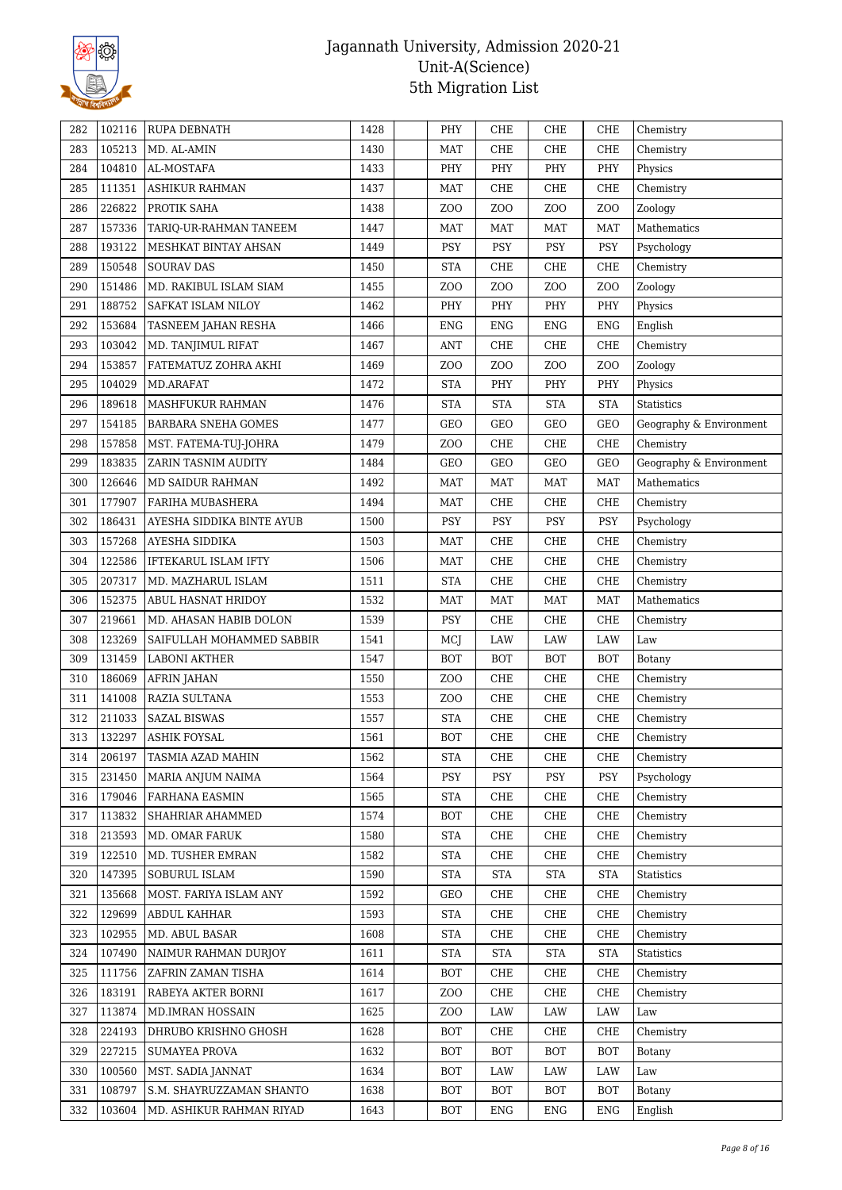

| 282        | 102116 | <b>RUPA DEBNATH</b>         | 1428 | PHY              | CHE              | CHE             | CHE              | Chemistry               |
|------------|--------|-----------------------------|------|------------------|------------------|-----------------|------------------|-------------------------|
| 283        | 105213 | MD. AL-AMIN                 | 1430 | <b>MAT</b>       | CHE              | CHE             | CHE              | Chemistry               |
| 284        | 104810 | AL-MOSTAFA                  | 1433 | PHY              | PHY              | PHY             | PHY              | Physics                 |
| 285        | 111351 | ASHIKUR RAHMAN              | 1437 | MAT              | CHE              | CHE             | CHE              | Chemistry               |
| 286        | 226822 | PROTIK SAHA                 | 1438 | ZO <sub>O</sub>  | Z <sub>0</sub>   | ZO <sub>O</sub> | Z <sub>O</sub> O | Zoology                 |
| 287        | 157336 | TARIQ-UR-RAHMAN TANEEM      | 1447 | <b>MAT</b>       | <b>MAT</b>       | MAT             | <b>MAT</b>       | Mathematics             |
| 288        | 193122 | MESHKAT BINTAY AHSAN        | 1449 | PSY              | PSY              | PSY             | <b>PSY</b>       | Psychology              |
| 289        | 150548 | <b>SOURAV DAS</b>           | 1450 | <b>STA</b>       | CHE              | CHE             | CHE              | Chemistry               |
| 290        | 151486 | MD. RAKIBUL ISLAM SIAM      | 1455 | Z <sub>O</sub> O | Z <sub>0</sub>   | ZO <sub>O</sub> | Z <sub>O</sub> O | Zoology                 |
| 291        | 188752 | SAFKAT ISLAM NILOY          | 1462 | PHY              | PHY              | PHY             | PHY              | Physics                 |
| 292        | 153684 | TASNEEM JAHAN RESHA         | 1466 | <b>ENG</b>       | <b>ENG</b>       | <b>ENG</b>      | <b>ENG</b>       | English                 |
| 293        | 103042 | MD. TANJIMUL RIFAT          | 1467 | <b>ANT</b>       | CHE              | CHE             | CHE              | Chemistry               |
| 294        | 153857 | FATEMATUZ ZOHRA AKHI        | 1469 | ZO <sub>O</sub>  | Z <sub>O</sub> O | ZOO             | Z <sub>0</sub>   | Zoology                 |
| 295        | 104029 | MD.ARAFAT                   | 1472 | <b>STA</b>       | PHY              | PHY             | PHY              | Physics                 |
| 296        | 189618 | MASHFUKUR RAHMAN            | 1476 | <b>STA</b>       | <b>STA</b>       | <b>STA</b>      | <b>STA</b>       | Statistics              |
| 297        | 154185 | <b>BARBARA SNEHA GOMES</b>  | 1477 | <b>GEO</b>       | GEO              | GEO             | GEO              | Geography & Environment |
| 298        | 157858 | MST. FATEMA-TUJ-JOHRA       | 1479 | ZO <sub>O</sub>  | CHE              | CHE             | CHE              | Chemistry               |
| 299        | 183835 | ZARIN TASNIM AUDITY         | 1484 | <b>GEO</b>       | GEO              | GEO             | GEO              | Geography & Environment |
| 300        | 126646 | MD SAIDUR RAHMAN            | 1492 | <b>MAT</b>       | <b>MAT</b>       | <b>MAT</b>      | <b>MAT</b>       | Mathematics             |
| 301        | 177907 | FARIHA MUBASHERA            | 1494 | <b>MAT</b>       | CHE              | CHE             | CHE              | Chemistry               |
| 302        | 186431 | AYESHA SIDDIKA BINTE AYUB   | 1500 | PSY              | PSY              | PSY             | PSY              | Psychology              |
| 303        | 157268 | AYESHA SIDDIKA              | 1503 | <b>MAT</b>       | CHE              | CHE             | CHE              | Chemistry               |
| 304        | 122586 | <b>IFTEKARUL ISLAM IFTY</b> | 1506 | MAT              | CHE              | CHE             | CHE              | Chemistry               |
| 305        | 207317 | MD. MAZHARUL ISLAM          | 1511 | <b>STA</b>       | CHE              | CHE             | CHE              | Chemistry               |
| 306        | 152375 | <b>ABUL HASNAT HRIDOY</b>   | 1532 | <b>MAT</b>       | <b>MAT</b>       | MAT             | <b>MAT</b>       | Mathematics             |
|            | 219661 |                             | 1539 | PSY              | CHE              | CHE             | CHE              |                         |
| 307<br>308 | 123269 | MD. AHASAN HABIB DOLON      | 1541 |                  | LAW              | LAW             | LAW              | Chemistry               |
|            |        | SAIFULLAH MOHAMMED SABBIR   |      | MCJ              |                  |                 |                  | Law                     |
| 309        | 131459 | <b>LABONI AKTHER</b>        | 1547 | <b>BOT</b>       | <b>BOT</b>       | <b>BOT</b>      | <b>BOT</b>       | Botany                  |
| 310        | 186069 | <b>AFRIN JAHAN</b>          | 1550 | Z <sub>O</sub> O | CHE              | CHE             | CHE              | Chemistry               |
| 311        | 141008 | RAZIA SULTANA               | 1553 | ZO <sub>O</sub>  | CHE              | CHE             | CHE              | Chemistry               |
| 312        | 211033 | <b>SAZAL BISWAS</b>         | 1557 | <b>STA</b>       | CHE              | CHE             | CHE              | Chemistry               |
| 313        | 132297 | <b>ASHIK FOYSAL</b>         | 1561 | <b>BOT</b>       | CHE              | CHE             | CHE              | Chemistry               |
| 314        | 206197 | TASMIA AZAD MAHIN           | 1562 | <b>STA</b>       | CHE              | CHE             | CHE              | Chemistry               |
| 315        | 231450 | MARIA ANJUM NAIMA           | 1564 | PSY              | PSY              | PSY             | <b>PSY</b>       | Psychology              |
| 316        | 179046 | <b>FARHANA EASMIN</b>       | 1565 | <b>STA</b>       | CHE              | CHE             | CHE              | Chemistry               |
| 317        | 113832 | SHAHRIAR AHAMMED            | 1574 | <b>BOT</b>       | CHE              | CHE             | CHE              | Chemistry               |
| 318        | 213593 | MD. OMAR FARUK              | 1580 | <b>STA</b>       | CHE              | CHE             | CHE              | Chemistry               |
| 319        | 122510 | MD. TUSHER EMRAN            | 1582 | <b>STA</b>       | CHE              | CHE             | CHE              | Chemistry               |
| 320        | 147395 | SOBURUL ISLAM               | 1590 | <b>STA</b>       | <b>STA</b>       | <b>STA</b>      | <b>STA</b>       | Statistics              |
| 321        | 135668 | MOST. FARIYA ISLAM ANY      | 1592 | <b>GEO</b>       | CHE              | CHE             | CHE              | Chemistry               |
| 322        | 129699 | ABDUL KAHHAR                | 1593 | <b>STA</b>       | CHE              | CHE             | CHE              | Chemistry               |
| 323        | 102955 | MD. ABUL BASAR              | 1608 | <b>STA</b>       | CHE              | CHE             | CHE              | Chemistry               |
| 324        | 107490 | NAIMUR RAHMAN DURJOY        | 1611 | <b>STA</b>       | <b>STA</b>       | <b>STA</b>      | <b>STA</b>       | Statistics              |
| 325        | 111756 | ZAFRIN ZAMAN TISHA          | 1614 | <b>BOT</b>       | CHE              | CHE             | CHE              | Chemistry               |
| 326        | 183191 | RABEYA AKTER BORNI          | 1617 | Z <sub>O</sub> O | CHE              | CHE             | CHE              | Chemistry               |
| 327        | 113874 | MD.IMRAN HOSSAIN            | 1625 | Z <sub>O</sub> O | LAW              | LAW             | LAW              | Law                     |
| 328        | 224193 | DHRUBO KRISHNO GHOSH        | 1628 | <b>BOT</b>       | CHE              | CHE             | CHE              | Chemistry               |
| 329        | 227215 | <b>SUMAYEA PROVA</b>        | 1632 | <b>BOT</b>       | <b>BOT</b>       | <b>BOT</b>      | <b>BOT</b>       | Botany                  |
| 330        | 100560 | MST. SADIA JANNAT           | 1634 | <b>BOT</b>       | LAW              | LAW             | LAW              | Law                     |
| 331        | 108797 | S.M. SHAYRUZZAMAN SHANTO    | 1638 | <b>BOT</b>       | <b>BOT</b>       | <b>BOT</b>      | <b>BOT</b>       | Botany                  |
| 332        | 103604 | MD. ASHIKUR RAHMAN RIYAD    | 1643 | BOT              | ENG              | ENG             | ENG              | English                 |
|            |        |                             |      |                  |                  |                 |                  |                         |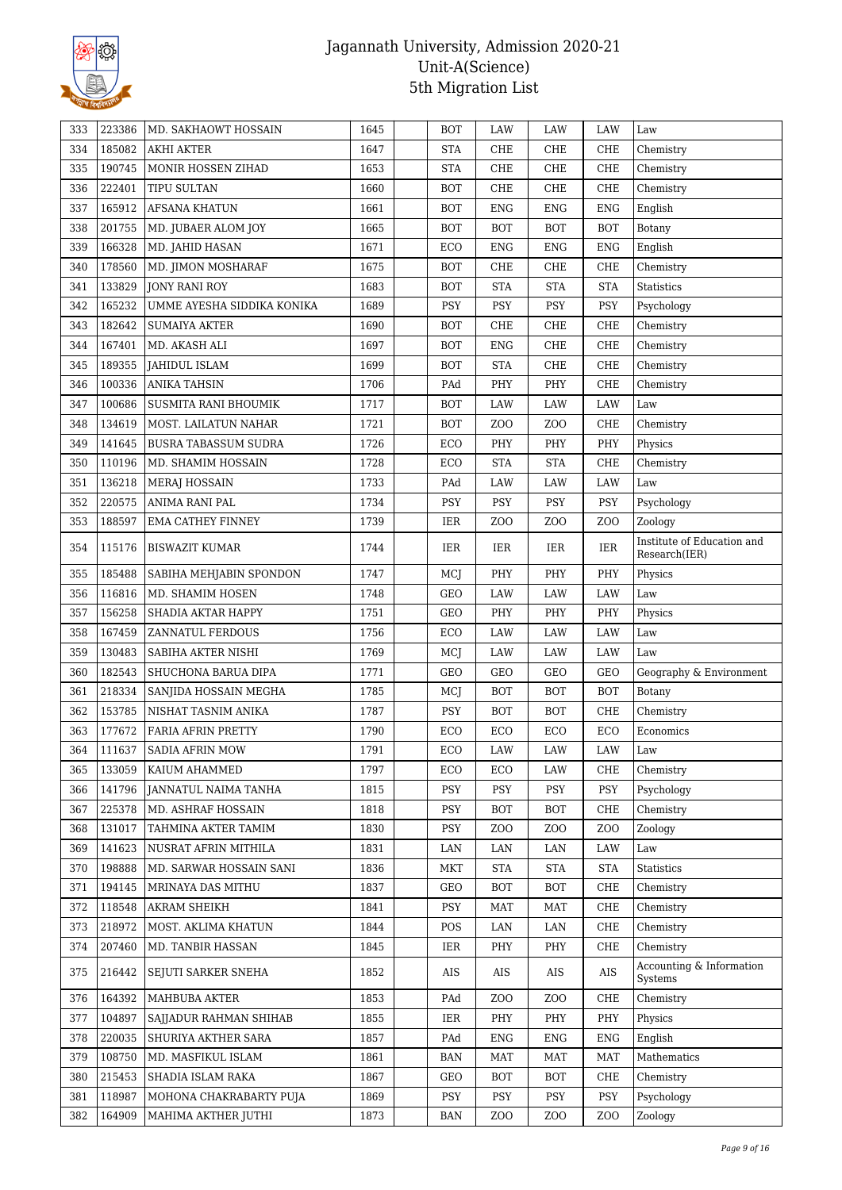

| 333 | 223386 | MD. SAKHAOWT HOSSAIN        | 1645 | <b>BOT</b> | LAW              | LAW              | LAW              | Law                                         |
|-----|--------|-----------------------------|------|------------|------------------|------------------|------------------|---------------------------------------------|
| 334 | 185082 | <b>AKHI AKTER</b>           | 1647 | <b>STA</b> | CHE              | CHE              | CHE              | Chemistry                                   |
| 335 | 190745 | MONIR HOSSEN ZIHAD          | 1653 | <b>STA</b> | CHE              | CHE              | CHE              | Chemistry                                   |
| 336 | 222401 | TIPU SULTAN                 | 1660 | <b>BOT</b> | CHE              | CHE              | CHE              | Chemistry                                   |
| 337 | 165912 | <b>AFSANA KHATUN</b>        | 1661 | <b>BOT</b> | ENG              | ${\rm ENG}$      | <b>ENG</b>       | English                                     |
| 338 | 201755 | MD. JUBAER ALOM JOY         | 1665 | <b>BOT</b> | <b>BOT</b>       | <b>BOT</b>       | <b>BOT</b>       | Botany                                      |
| 339 | 166328 | MD. JAHID HASAN             | 1671 | ECO        | ${\rm ENG}$      | <b>ENG</b>       | <b>ENG</b>       | English                                     |
| 340 | 178560 | MD. JIMON MOSHARAF          | 1675 | <b>BOT</b> | CHE              | CHE              | CHE              | Chemistry                                   |
| 341 | 133829 | JONY RANI ROY               | 1683 | <b>BOT</b> | <b>STA</b>       | <b>STA</b>       | <b>STA</b>       | Statistics                                  |
| 342 | 165232 | UMME AYESHA SIDDIKA KONIKA  | 1689 | <b>PSY</b> | PSY              | PSY              | <b>PSY</b>       | Psychology                                  |
| 343 | 182642 | <b>SUMAIYA AKTER</b>        | 1690 | <b>BOT</b> | CHE              | CHE              | CHE              | Chemistry                                   |
| 344 | 167401 | MD. AKASH ALI               | 1697 | <b>BOT</b> | <b>ENG</b>       | CHE              | CHE              | Chemistry                                   |
| 345 | 189355 | <b>JAHIDUL ISLAM</b>        | 1699 | <b>BOT</b> | <b>STA</b>       | CHE              | CHE              | Chemistry                                   |
| 346 | 100336 | <b>ANIKA TAHSIN</b>         | 1706 | PAd        | PHY              | PHY              | CHE              | Chemistry                                   |
| 347 | 100686 | SUSMITA RANI BHOUMIK        | 1717 | <b>BOT</b> | LAW              | LAW              | LAW              | Law                                         |
| 348 | 134619 | MOST. LAILATUN NAHAR        | 1721 | <b>BOT</b> | ZO <sub>O</sub>  | ZO <sub>O</sub>  | CHE              | Chemistry                                   |
| 349 | 141645 | <b>BUSRA TABASSUM SUDRA</b> | 1726 | ECO        | PHY              | PHY              | PHY              | Physics                                     |
| 350 | 110196 | MD. SHAMIM HOSSAIN          | 1728 | ECO        | <b>STA</b>       | <b>STA</b>       | CHE              | Chemistry                                   |
| 351 | 136218 | <b>MERAJ HOSSAIN</b>        | 1733 | PAd        | LAW              | LAW              | LAW              | Law                                         |
| 352 | 220575 | ANIMA RANI PAL              | 1734 | PSY        | PSY              | PSY              | PSY              | Psychology                                  |
| 353 | 188597 | <b>EMA CATHEY FINNEY</b>    | 1739 | IER        | Z <sub>O</sub> O | Z <sub>O</sub> O | Z <sub>O</sub> O | Zoology                                     |
| 354 | 115176 | <b>BISWAZIT KUMAR</b>       | 1744 | IER        | IER              | IER              | IER              | Institute of Education and<br>Research(IER) |
| 355 | 185488 | SABIHA MEHJABIN SPONDON     | 1747 | MCJ        | PHY              | PHY              | PHY              | Physics                                     |
| 356 | 116816 | MD. SHAMIM HOSEN            | 1748 | GEO        | LAW              | LAW              | LAW              | Law                                         |
| 357 | 156258 | SHADIA AKTAR HAPPY          | 1751 | <b>GEO</b> | PHY              | PHY              | PHY              | Physics                                     |
| 358 | 167459 | ZANNATUL FERDOUS            | 1756 | ECO        | LAW              | LAW              | LAW              | Law                                         |
| 359 | 130483 | SABIHA AKTER NISHI          | 1769 | MCJ        | LAW              | LAW              | LAW              | Law                                         |
| 360 | 182543 | SHUCHONA BARUA DIPA         | 1771 | GEO        | <b>GEO</b>       | GEO              | <b>GEO</b>       | Geography & Environment                     |
| 361 | 218334 | SANJIDA HOSSAIN MEGHA       | 1785 | MCJ        | <b>BOT</b>       | <b>BOT</b>       | <b>BOT</b>       | <b>Botany</b>                               |
| 362 | 153785 | NISHAT TASNIM ANIKA         | 1787 | PSY        | <b>BOT</b>       | <b>BOT</b>       | CHE              | Chemistry                                   |
| 363 | 177672 | FARIA AFRIN PRETTY          | 1790 | ECO        | ECO              | ECO              | ECO              | Economics                                   |
| 364 | 111637 | SADIA AFRIN MOW             | 1791 | ECO        | LAW              | $_{\rm LAW}$     | LAW              | Law                                         |
| 365 | 133059 | KAIUM AHAMMED               | 1797 | ECO        | ECO              | LAW              | CHE              | Chemistry                                   |
| 366 | 141796 | JANNATUL NAIMA TANHA        | 1815 | PSY        | PSY              | PSY              | PSY              | Psychology                                  |
| 367 | 225378 | MD. ASHRAF HOSSAIN          | 1818 | <b>PSY</b> | <b>BOT</b>       | <b>BOT</b>       | CHE              | Chemistry                                   |
| 368 | 131017 | TAHMINA AKTER TAMIM         | 1830 | PSY        | Z <sub>0</sub>   | Z <sub>O</sub> O | Z <sub>O</sub> O | Zoology                                     |
| 369 | 141623 | NUSRAT AFRIN MITHILA        | 1831 | LAN        | LAN              | LAN              | LAW              | Law                                         |
| 370 | 198888 | MD. SARWAR HOSSAIN SANI     | 1836 | <b>MKT</b> | <b>STA</b>       | <b>STA</b>       | <b>STA</b>       | <b>Statistics</b>                           |
| 371 | 194145 | MRINAYA DAS MITHU           | 1837 | GEO        | <b>BOT</b>       | <b>BOT</b>       | CHE              | Chemistry                                   |
| 372 | 118548 | <b>AKRAM SHEIKH</b>         | 1841 | PSY        | <b>MAT</b>       | MAT              | CHE              | Chemistry                                   |
| 373 | 218972 | MOST. AKLIMA KHATUN         | 1844 | POS        | LAN              | LAN              | CHE              | Chemistry                                   |
| 374 | 207460 | MD. TANBIR HASSAN           | 1845 | IER        | PHY              | PHY              | CHE              | Chemistry                                   |
| 375 | 216442 | SEJUTI SARKER SNEHA         | 1852 | AIS        | AIS              | AIS              | AIS              | Accounting & Information<br>Systems         |
| 376 | 164392 | MAHBUBA AKTER               | 1853 | PAd        | ZO <sub>O</sub>  | ZO <sub>O</sub>  | CHE              | Chemistry                                   |
| 377 | 104897 | SAIJADUR RAHMAN SHIHAB      | 1855 | IER        | PHY              | PHY              | PHY              | Physics                                     |
| 378 | 220035 | SHURIYA AKTHER SARA         | 1857 | PAd        | <b>ENG</b>       | ENG              | ENG              | English                                     |
| 379 | 108750 | MD. MASFIKUL ISLAM          | 1861 | BAN        | <b>MAT</b>       | <b>MAT</b>       | MAT              | Mathematics                                 |
| 380 | 215453 | SHADIA ISLAM RAKA           | 1867 | GEO        | <b>BOT</b>       | <b>BOT</b>       | CHE              | Chemistry                                   |
| 381 | 118987 | MOHONA CHAKRABARTY PUJA     | 1869 | PSY        | PSY              | PSY              | PSY              | Psychology                                  |
| 382 | 164909 | MAHIMA AKTHER JUTHI         | 1873 | BAN        | Z <sub>O</sub> O | ZO <sub>O</sub>  | Z <sub>O</sub> O | Zoology                                     |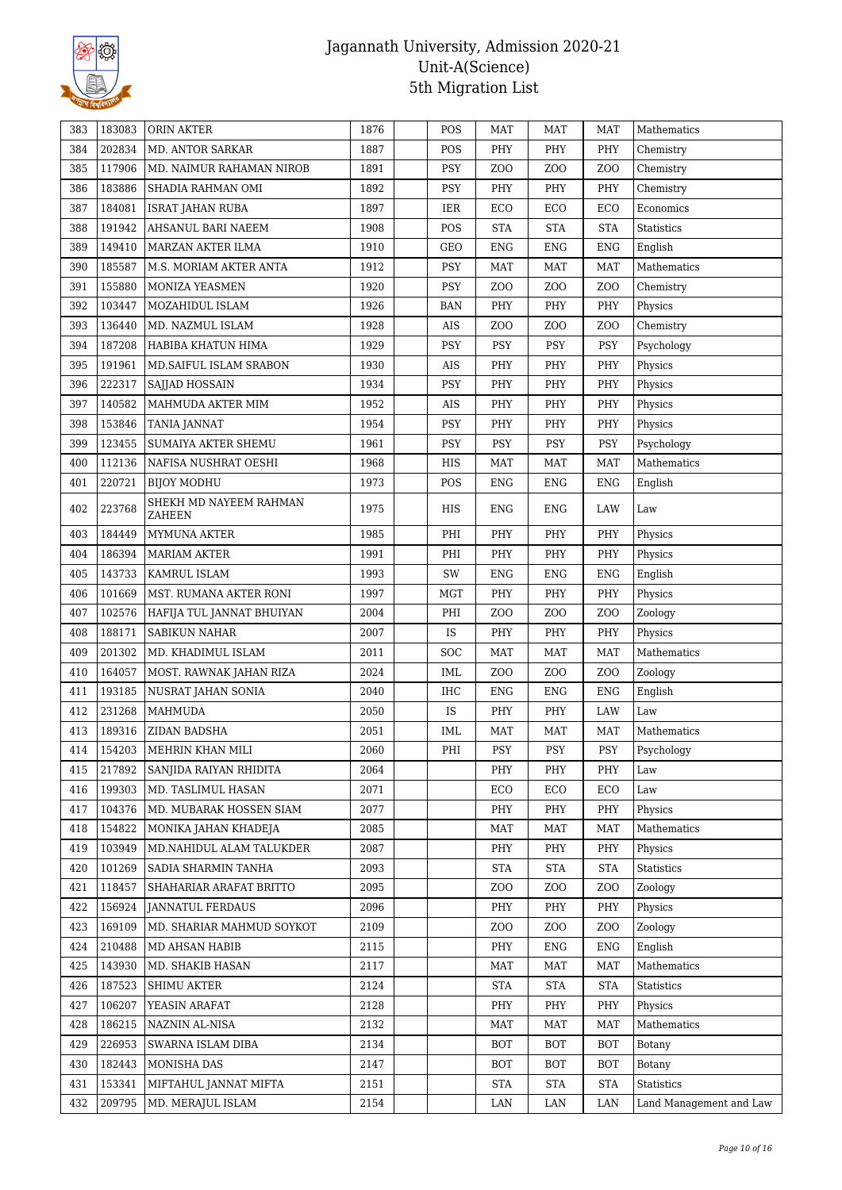

| 383 | 183083 | ORIN AKTER                              | 1876 | POS        | <b>MAT</b>      | <b>MAT</b>       | MAT              | Mathematics             |
|-----|--------|-----------------------------------------|------|------------|-----------------|------------------|------------------|-------------------------|
| 384 | 202834 | MD. ANTOR SARKAR                        | 1887 | POS        | PHY             | PHY              | PHY              | Chemistry               |
| 385 | 117906 | MD. NAIMUR RAHAMAN NIROB                | 1891 | PSY        | ZO <sub>O</sub> | Z <sub>O</sub> O | Z <sub>O</sub> O | Chemistry               |
| 386 | 183886 | SHADIA RAHMAN OMI                       | 1892 | PSY        | PHY             | PHY              | PHY              | Chemistry               |
| 387 | 184081 | <b>ISRAT JAHAN RUBA</b>                 | 1897 | IER        | ECO             | ECO              | ECO              | Economics               |
| 388 | 191942 | AHSANUL BARI NAEEM                      | 1908 | POS        | <b>STA</b>      | <b>STA</b>       | <b>STA</b>       | Statistics              |
| 389 | 149410 | MARZAN AKTER ILMA                       | 1910 | GEO        | <b>ENG</b>      | <b>ENG</b>       | <b>ENG</b>       | English                 |
| 390 | 185587 | M.S. MORIAM AKTER ANTA                  | 1912 | PSY        | <b>MAT</b>      | <b>MAT</b>       | <b>MAT</b>       | Mathematics             |
| 391 | 155880 | MONIZA YEASMEN                          | 1920 | <b>PSY</b> | ZO <sub>O</sub> | Z <sub>O</sub> O | Z <sub>O</sub> O | Chemistry               |
| 392 | 103447 | MOZAHIDUL ISLAM                         | 1926 | BAN        | PHY             | PHY              | PHY              | Physics                 |
| 393 | 136440 | MD. NAZMUL ISLAM                        | 1928 | AIS        | ZO <sub>O</sub> | ZO <sub>O</sub>  | Z <sub>O</sub> O | Chemistry               |
| 394 | 187208 | HABIBA KHATUN HIMA                      | 1929 | PSY        | <b>PSY</b>      | PSY              | PSY              | Psychology              |
| 395 | 191961 | MD. SAIFUL ISLAM SRABON                 | 1930 | AIS        | PHY             | PHY              | PHY              | Physics                 |
| 396 | 222317 | SAJJAD HOSSAIN                          | 1934 | PSY        | PHY             | PHY              | PHY              | Physics                 |
| 397 | 140582 | MAHMUDA AKTER MIM                       | 1952 | AIS        | PHY             | PHY              | PHY              | Physics                 |
| 398 | 153846 | TANIA JANNAT                            | 1954 | <b>PSY</b> | PHY             | PHY              | PHY              | Physics                 |
| 399 | 123455 | <b>SUMAIYA AKTER SHEMU</b>              | 1961 | <b>PSY</b> | PSY             | PSY              | <b>PSY</b>       | Psychology              |
| 400 | 112136 | NAFISA NUSHRAT OESHI                    | 1968 | HIS        | <b>MAT</b>      | <b>MAT</b>       | <b>MAT</b>       | Mathematics             |
| 401 | 220721 | <b>BIJOY MODHU</b>                      | 1973 | POS        | ENG             | <b>ENG</b>       | <b>ENG</b>       | English                 |
| 402 | 223768 | SHEKH MD NAYEEM RAHMAN<br><b>ZAHEEN</b> | 1975 | HIS        | ENG             | ENG              | LAW              | Law                     |
| 403 | 184449 | MYMUNA AKTER                            | 1985 | PHI        | PHY             | PHY              | PHY              | Physics                 |
| 404 | 186394 | <b>MARIAM AKTER</b>                     | 1991 | PHI        | PHY             | PHY              | PHY              | Physics                 |
| 405 | 143733 | KAMRUL ISLAM                            | 1993 | SW         | <b>ENG</b>      | <b>ENG</b>       | <b>ENG</b>       | English                 |
| 406 | 101669 | MST. RUMANA AKTER RONI                  | 1997 | <b>MGT</b> | PHY             | PHY              | PHY              | Physics                 |
| 407 | 102576 | HAFIJA TUL JANNAT BHUIYAN               | 2004 | PHI        | ZO <sub>O</sub> | ZOO              | Z <sub>O</sub> O | Zoology                 |
| 408 | 188171 | <b>SABIKUN NAHAR</b>                    | 2007 | <b>IS</b>  | PHY             | PHY              | PHY              | Physics                 |
| 409 | 201302 | MD. KHADIMUL ISLAM                      | 2011 | <b>SOC</b> | <b>MAT</b>      | <b>MAT</b>       | <b>MAT</b>       | Mathematics             |
| 410 | 164057 | MOST. RAWNAK JAHAN RIZA                 | 2024 | <b>IML</b> | ZO <sub>O</sub> | ZO <sub>O</sub>  | Z <sub>O</sub> O | Zoology                 |
| 411 | 193185 | NUSRAT JAHAN SONIA                      | 2040 | IHC        | ENG             | ENG              | <b>ENG</b>       | English                 |
| 412 | 231268 | <b>MAHMUDA</b>                          | 2050 | IS         | PHY             | PHY              | LAW              | Law                     |
| 413 | 189316 | ZIDAN BADSHA                            | 2051 | IML        | <b>MAT</b>      | <b>MAT</b>       | <b>MAT</b>       | Mathematics             |
| 414 | 154203 | MEHRIN KHAN MILI                        | 2060 | $\rm PHI$  | <b>PSY</b>      | PSY              | PSY              | ${\tt Psychology}$      |
| 415 | 217892 | SANJIDA RAIYAN RHIDITA                  | 2064 |            | PHY             | PHY              | PHY              | Law                     |
| 416 | 199303 | MD. TASLIMUL HASAN                      | 2071 |            | ECO             | ECO              | ECO              | Law                     |
| 417 | 104376 | MD. MUBARAK HOSSEN SIAM                 | 2077 |            | PHY             | PHY              | PHY              | Physics                 |
| 418 | 154822 | MONIKA JAHAN KHADEJA                    | 2085 |            | MAT             | <b>MAT</b>       | MAT              | Mathematics             |
| 419 | 103949 | MD.NAHIDUL ALAM TALUKDER                | 2087 |            | PHY             | PHY              | PHY              | Physics                 |
| 420 | 101269 | SADIA SHARMIN TANHA                     | 2093 |            | <b>STA</b>      | <b>STA</b>       | <b>STA</b>       | Statistics              |
| 421 | 118457 | SHAHARIAR ARAFAT BRITTO                 | 2095 |            | ZO <sub>O</sub> | ZOO              | Z <sub>O</sub> O | Zoology                 |
| 422 | 156924 | <b>JANNATUL FERDAUS</b>                 | 2096 |            | PHY             | PHY              | PHY              | Physics                 |
| 423 | 169109 | MD. SHARIAR MAHMUD SOYKOT               | 2109 |            | ZO <sub>O</sub> | ZOO              | Z <sub>0</sub>   | Zoology                 |
| 424 | 210488 | MD AHSAN HABIB                          | 2115 |            | PHY             | ENG              | ENG              | English                 |
| 425 | 143930 | MD. SHAKIB HASAN                        | 2117 |            | <b>MAT</b>      | <b>MAT</b>       | MAT              | Mathematics             |
| 426 | 187523 | <b>SHIMU AKTER</b>                      | 2124 |            | <b>STA</b>      | STA              | <b>STA</b>       | Statistics              |
| 427 | 106207 | YEASIN ARAFAT                           | 2128 |            | PHY             | PHY              | PHY              | Physics                 |
| 428 | 186215 | NAZNIN AL-NISA                          | 2132 |            | MAT             | <b>MAT</b>       | MAT              | Mathematics             |
| 429 | 226953 | SWARNA ISLAM DIBA                       | 2134 |            | <b>BOT</b>      | <b>BOT</b>       | BOT              | Botany                  |
| 430 | 182443 | MONISHA DAS                             | 2147 |            | <b>BOT</b>      | <b>BOT</b>       | <b>BOT</b>       | Botany                  |
| 431 | 153341 | MIFTAHUL JANNAT MIFTA                   | 2151 |            | STA             | <b>STA</b>       | <b>STA</b>       | <b>Statistics</b>       |
| 432 | 209795 | MD. MERAJUL ISLAM                       | 2154 |            | LAN             | LAN              | LAN              | Land Management and Law |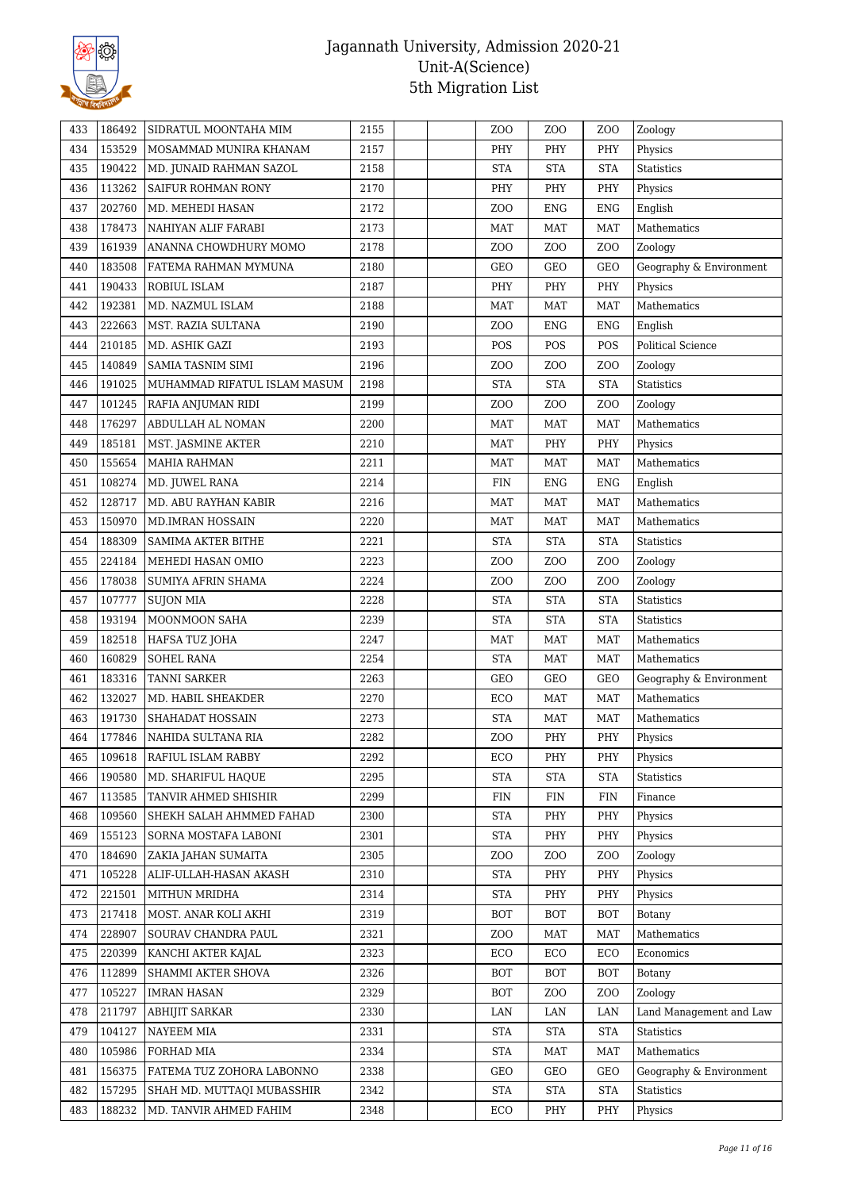

| 433        | 186492 | SIDRATUL MOONTAHA MIM                       | 2155 |  | Z <sub>O</sub> O | Z <sub>O</sub> O | Z <sub>O</sub> O        | Zoology                 |
|------------|--------|---------------------------------------------|------|--|------------------|------------------|-------------------------|-------------------------|
| 434        | 153529 | MOSAMMAD MUNIRA KHANAM                      | 2157 |  | PHY              | PHY              | PHY                     | Physics                 |
| 435        | 190422 | MD. JUNAID RAHMAN SAZOL                     | 2158 |  | <b>STA</b>       | <b>STA</b>       | <b>STA</b>              | Statistics              |
| 436        | 113262 | SAIFUR ROHMAN RONY                          | 2170 |  | PHY              | PHY              | PHY                     | Physics                 |
| 437        | 202760 | MD. MEHEDI HASAN                            | 2172 |  | ZO <sub>O</sub>  | ${\rm ENG}$      | <b>ENG</b>              | English                 |
| 438        | 178473 | NAHIYAN ALIF FARABI                         | 2173 |  | <b>MAT</b>       | <b>MAT</b>       | <b>MAT</b>              | Mathematics             |
| 439        | 161939 | ANANNA CHOWDHURY MOMO                       | 2178 |  | Z <sub>O</sub> O | ZOO              | Z <sub>O</sub> O        | Zoology                 |
| 440        | 183508 | FATEMA RAHMAN MYMUNA                        | 2180 |  | GEO              | GEO              | GEO                     | Geography & Environment |
| 441        | 190433 | ROBIUL ISLAM                                | 2187 |  | PHY              | PHY              | PHY                     | Physics                 |
| 442        | 192381 | MD. NAZMUL ISLAM                            | 2188 |  | MAT              | <b>MAT</b>       | MAT                     | Mathematics             |
| 443        | 222663 | MST. RAZIA SULTANA                          | 2190 |  | ZO <sub>O</sub>  | ${\rm ENG}$      | <b>ENG</b>              | English                 |
| 444        | 210185 | MD. ASHIK GAZI                              | 2193 |  | POS              | POS              | POS                     | Political Science       |
| 445        | 140849 | SAMIA TASNIM SIMI                           | 2196 |  | ZO <sub>O</sub>  | ZOO              | Z <sub>O</sub> O        | Zoology                 |
| 446        | 191025 | MUHAMMAD RIFATUL ISLAM MASUM                | 2198 |  | <b>STA</b>       | <b>STA</b>       | <b>STA</b>              | <b>Statistics</b>       |
| 447        | 101245 | RAFIA ANJUMAN RIDI                          | 2199 |  | Z <sub>O</sub> O | ZOO              | Z <sub>O</sub> O        | Zoology                 |
| 448        | 176297 | ABDULLAH AL NOMAN                           | 2200 |  | <b>MAT</b>       | <b>MAT</b>       | <b>MAT</b>              | Mathematics             |
| 449        | 185181 | MST. JASMINE AKTER                          | 2210 |  | <b>MAT</b>       | PHY              | PHY                     | Physics                 |
| 450        | 155654 | <b>MAHIA RAHMAN</b>                         | 2211 |  | <b>MAT</b>       | <b>MAT</b>       | <b>MAT</b>              | Mathematics             |
| 451        | 108274 | MD. JUWEL RANA                              | 2214 |  | <b>FIN</b>       | <b>ENG</b>       | <b>ENG</b>              | English                 |
| 452        | 128717 | MD. ABU RAYHAN KABIR                        | 2216 |  | <b>MAT</b>       | <b>MAT</b>       | <b>MAT</b>              | Mathematics             |
| 453        | 150970 | <b>MD.IMRAN HOSSAIN</b>                     | 2220 |  | <b>MAT</b>       | <b>MAT</b>       | <b>MAT</b>              | Mathematics             |
| 454        | 188309 | <b>SAMIMA AKTER BITHE</b>                   | 2221 |  | <b>STA</b>       | <b>STA</b>       | <b>STA</b>              | Statistics              |
| 455        | 224184 | MEHEDI HASAN OMIO                           | 2223 |  | Z <sub>O</sub> O | Z <sub>O</sub> O | Z <sub>O</sub> O        | Zoology                 |
| 456        | 178038 | <b>SUMIYA AFRIN SHAMA</b>                   | 2224 |  | ZO <sub>O</sub>  | ZOO              | Z <sub>O</sub> O        | Zoology                 |
| 457        | 107777 | <b>SUJON MIA</b>                            | 2228 |  | <b>STA</b>       | <b>STA</b>       | <b>STA</b>              | Statistics              |
| 458        | 193194 | MOONMOON SAHA                               | 2239 |  | <b>STA</b>       | <b>STA</b>       | <b>STA</b>              | Statistics              |
| 459        | 182518 | HAFSA TUZ JOHA                              | 2247 |  | <b>MAT</b>       | <b>MAT</b>       | <b>MAT</b>              | Mathematics             |
| 460        | 160829 | <b>SOHEL RANA</b>                           | 2254 |  | <b>STA</b>       | <b>MAT</b>       | <b>MAT</b>              | Mathematics             |
| 461        | 183316 | <b>TANNI SARKER</b>                         | 2263 |  | GEO              | GEO              | GEO                     | Geography & Environment |
| 462        | 132027 | MD. HABIL SHEAKDER                          | 2270 |  | ECO              | <b>MAT</b>       | <b>MAT</b>              | Mathematics             |
| 463        | 191730 | SHAHADAT HOSSAIN                            | 2273 |  | <b>STA</b>       | <b>MAT</b>       | <b>MAT</b>              | Mathematics             |
| 464        | 177846 | NAHIDA SULTANA RIA                          | 2282 |  | Z <sub>O</sub> O | PHY              | PHY                     | Physics                 |
| 465        | 109618 | RAFIUL ISLAM RABBY                          | 2292 |  | ECO              | PHY              | PHY                     | Physics                 |
| 466        | 190580 | MD. SHARIFUL HAOUE                          | 2295 |  | <b>STA</b>       | <b>STA</b>       | <b>STA</b>              | Statistics              |
| 467        | 113585 | TANVIR AHMED SHISHIR                        | 2299 |  | <b>FIN</b>       | FIN              | <b>FIN</b>              | Finance                 |
|            | 109560 |                                             | 2300 |  | <b>STA</b>       |                  |                         |                         |
| 468        | 155123 | SHEKH SALAH AHMMED FAHAD                    | 2301 |  | <b>STA</b>       | PHY<br>PHY       | PHY                     | Physics<br>Physics      |
| 469        | 184690 | SORNA MOSTAFA LABONI<br>ZAKIA JAHAN SUMAITA | 2305 |  | ZO <sub>O</sub>  | Z <sub>O</sub> O | PHY<br>Z <sub>O</sub> O | Zoology                 |
| 470        | 105228 | ALIF-ULLAH-HASAN AKASH                      | 2310 |  | <b>STA</b>       |                  |                         |                         |
| 471<br>472 | 221501 | MITHUN MRIDHA                               | 2314 |  | <b>STA</b>       | PHY<br>PHY       | PHY                     | Physics<br>Physics      |
|            |        | MOST. ANAR KOLI AKHI                        |      |  |                  |                  | PHY                     |                         |
| 473        | 217418 |                                             | 2319 |  | <b>BOT</b>       | <b>BOT</b>       | <b>BOT</b>              | Botany                  |
| 474        | 228907 | SOURAV CHANDRA PAUL                         | 2321 |  | ZO <sub>O</sub>  | <b>MAT</b>       | MAT                     | Mathematics             |
| 475        | 220399 | KANCHI AKTER KAJAL                          | 2323 |  | ECO              | ECO              | ECO                     | Economics               |
| 476        | 112899 | SHAMMI AKTER SHOVA                          | 2326 |  | BOT              | <b>BOT</b>       | <b>BOT</b>              | Botany                  |
| 477        | 105227 | <b>IMRAN HASAN</b>                          | 2329 |  | BOT              | Z <sub>O</sub> O | Z <sub>0</sub>          | Zoology                 |
| 478        | 211797 | <b>ABHIJIT SARKAR</b>                       | 2330 |  | LAN              | LAN              | LAN                     | Land Management and Law |
| 479        | 104127 | <b>NAYEEM MIA</b>                           | 2331 |  | <b>STA</b>       | <b>STA</b>       | <b>STA</b>              | Statistics              |
| 480        | 105986 | FORHAD MIA                                  | 2334 |  | <b>STA</b>       | <b>MAT</b>       | <b>MAT</b>              | Mathematics             |
| 481        | 156375 | FATEMA TUZ ZOHORA LABONNO                   | 2338 |  | GEO              | GEO              | GEO                     | Geography & Environment |
| 482        | 157295 | SHAH MD. MUTTAQI MUBASSHIR                  | 2342 |  | <b>STA</b>       | <b>STA</b>       | <b>STA</b>              | Statistics              |
| 483        | 188232 | MD. TANVIR AHMED FAHIM                      | 2348 |  | ECO              | PHY              | PHY                     | Physics                 |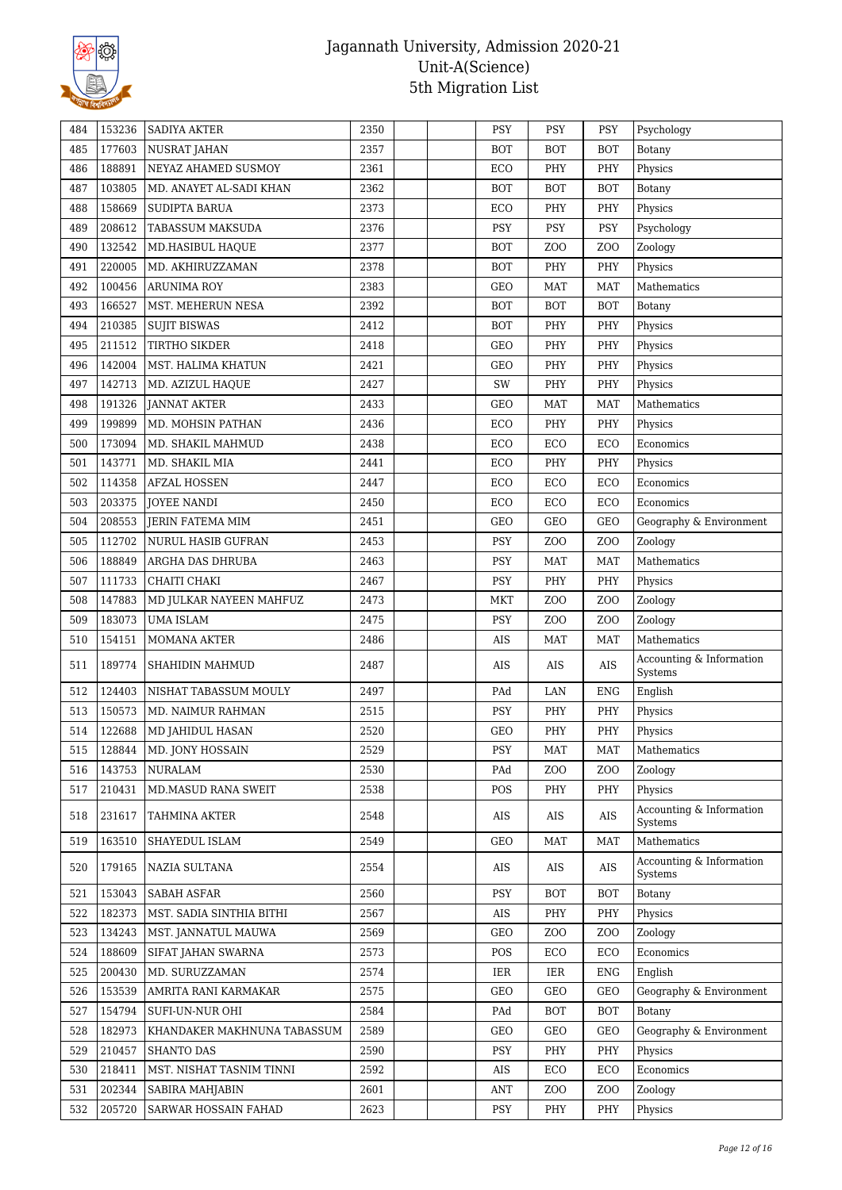

| 484 | 153236 | <b>SADIYA AKTER</b>         | 2350 |  | <b>PSY</b> | PSY              | PSY              | Psychology                          |
|-----|--------|-----------------------------|------|--|------------|------------------|------------------|-------------------------------------|
| 485 | 177603 | <b>NUSRAT JAHAN</b>         | 2357 |  | <b>BOT</b> | <b>BOT</b>       | <b>BOT</b>       | Botany                              |
| 486 | 188891 | NEYAZ AHAMED SUSMOY         | 2361 |  | ECO        | PHY              | PHY              | Physics                             |
| 487 | 103805 | MD. ANAYET AL-SADI KHAN     | 2362 |  | <b>BOT</b> | <b>BOT</b>       | <b>BOT</b>       | Botany                              |
| 488 | 158669 | <b>SUDIPTA BARUA</b>        | 2373 |  | ECO        | PHY              | PHY              | Physics                             |
| 489 | 208612 | <b>TABASSUM MAKSUDA</b>     | 2376 |  | <b>PSY</b> | <b>PSY</b>       | <b>PSY</b>       | Psychology                          |
| 490 | 132542 | MD.HASIBUL HAQUE            | 2377 |  | <b>BOT</b> | ZOO              | Z <sub>O</sub> O | Zoology                             |
| 491 | 220005 | MD. AKHIRUZZAMAN            | 2378 |  | <b>BOT</b> | PHY              | PHY              | Physics                             |
| 492 | 100456 | <b>ARUNIMA ROY</b>          | 2383 |  | <b>GEO</b> | MAT              | <b>MAT</b>       | Mathematics                         |
| 493 | 166527 | MST. MEHERUN NESA           | 2392 |  | <b>BOT</b> | <b>BOT</b>       | <b>BOT</b>       | Botany                              |
| 494 | 210385 | <b>SUJIT BISWAS</b>         | 2412 |  | <b>BOT</b> | PHY              | PHY              | Physics                             |
| 495 | 211512 | <b>TIRTHO SIKDER</b>        | 2418 |  | <b>GEO</b> | PHY              | PHY              | Physics                             |
| 496 | 142004 | MST. HALIMA KHATUN          | 2421 |  | <b>GEO</b> | PHY              | PHY              | Physics                             |
| 497 | 142713 | MD. AZIZUL HAQUE            | 2427 |  | SW         | PHY              | PHY              | Physics                             |
| 498 | 191326 | <b>JANNAT AKTER</b>         | 2433 |  | <b>GEO</b> | <b>MAT</b>       | <b>MAT</b>       | Mathematics                         |
| 499 | 199899 | MD. MOHSIN PATHAN           | 2436 |  | ECO        | PHY              | PHY              | Physics                             |
| 500 | 173094 | MD. SHAKIL MAHMUD           | 2438 |  | ECO        | ECO              | ECO              | Economics                           |
| 501 | 143771 | MD. SHAKIL MIA              | 2441 |  | ECO        | PHY              | PHY              | Physics                             |
| 502 | 114358 | <b>AFZAL HOSSEN</b>         | 2447 |  | ECO        | ECO              | ECO              | Economics                           |
| 503 | 203375 | <b>JOYEE NANDI</b>          | 2450 |  | ECO        | ECO              | ECO              | Economics                           |
| 504 | 208553 | <b>JERIN FATEMA MIM</b>     | 2451 |  | <b>GEO</b> | GEO              | GEO              | Geography & Environment             |
| 505 | 112702 | NURUL HASIB GUFRAN          | 2453 |  | PSY        | Z <sub>O</sub> O | Z <sub>O</sub> O | Zoology                             |
| 506 | 188849 | ARGHA DAS DHRUBA            | 2463 |  | PSY        | <b>MAT</b>       | MAT              | Mathematics                         |
| 507 | 111733 | CHAITI CHAKI                | 2467 |  | <b>PSY</b> | PHY              | PHY              | Physics                             |
| 508 | 147883 | MD JULKAR NAYEEN MAHFUZ     | 2473 |  | MKT        | ZO <sub>O</sub>  | Z <sub>O</sub> O | Zoology                             |
| 509 | 183073 | <b>UMA ISLAM</b>            | 2475 |  | PSY        | ZO <sub>O</sub>  | Z <sub>O</sub> O | Zoology                             |
| 510 | 154151 | <b>MOMANA AKTER</b>         | 2486 |  | AIS        | <b>MAT</b>       | <b>MAT</b>       | Mathematics                         |
| 511 | 189774 | SHAHIDIN MAHMUD             | 2487 |  | AIS        | AIS              | AIS              | Accounting & Information<br>Systems |
| 512 | 124403 | NISHAT TABASSUM MOULY       | 2497 |  | PAd        | LAN              | <b>ENG</b>       | English                             |
| 513 | 150573 | MD. NAIMUR RAHMAN           | 2515 |  | PSY        | PHY              | PHY              | Physics                             |
| 514 | 122688 | MD JAHIDUL HASAN            | 2520 |  | <b>GEO</b> | PHY              | PHY              | Physics                             |
| 515 | 128844 | MD. JONY HOSSAIN            | 2529 |  | PSY        | MAT              | MAT              | Mathematics                         |
| 516 | 143753 | NURALAM                     | 2530 |  | PAd        | Z <sub>0</sub>   | Z <sub>0</sub>   | Zoology                             |
| 517 | 210431 | MD.MASUD RANA SWEIT         | 2538 |  | POS        | PHY              | PHY              | Physics                             |
| 518 | 231617 | <b>TAHMINA AKTER</b>        | 2548 |  | AIS        | AIS              | AIS              | Accounting & Information<br>Systems |
| 519 | 163510 | SHAYEDUL ISLAM              | 2549 |  | GEO        | MAT              | MAT              | Mathematics                         |
| 520 | 179165 | NAZIA SULTANA               | 2554 |  | AIS        | AIS              | AIS              | Accounting & Information<br>Systems |
| 521 | 153043 | <b>SABAH ASFAR</b>          | 2560 |  | PSY        | <b>BOT</b>       | <b>BOT</b>       | Botany                              |
| 522 | 182373 | MST. SADIA SINTHIA BITHI    | 2567 |  | AIS        | PHY              | PHY              | Physics                             |
| 523 | 134243 | MST. JANNATUL MAUWA         | 2569 |  | GEO        | ZO <sub>O</sub>  | Z <sub>O</sub> O | Zoology                             |
| 524 | 188609 | SIFAT JAHAN SWARNA          | 2573 |  | POS        | ECO              | ECO              | Economics                           |
| 525 | 200430 | MD. SURUZZAMAN              | 2574 |  | IER        | IER              | ENG              | English                             |
| 526 | 153539 | AMRITA RANI KARMAKAR        | 2575 |  | GEO        | GEO              | GEO              | Geography & Environment             |
| 527 | 154794 | SUFI-UN-NUR OHI             | 2584 |  | PAd        | <b>BOT</b>       | <b>BOT</b>       | Botany                              |
| 528 | 182973 | KHANDAKER MAKHNUNA TABASSUM | 2589 |  | GEO        | GEO              | GEO              | Geography & Environment             |
| 529 | 210457 | SHANTO DAS                  | 2590 |  | <b>PSY</b> | PHY              | PHY              | Physics                             |
| 530 | 218411 | MST. NISHAT TASNIM TINNI    | 2592 |  | AIS        | ECO              | ECO              | Economics                           |
| 531 | 202344 | SABIRA MAHJABIN             | 2601 |  | <b>ANT</b> | Z <sub>O</sub> O | Z <sub>O</sub> O | Zoology                             |
| 532 | 205720 | SARWAR HOSSAIN FAHAD        | 2623 |  | PSY        | PHY              | PHY              | Physics                             |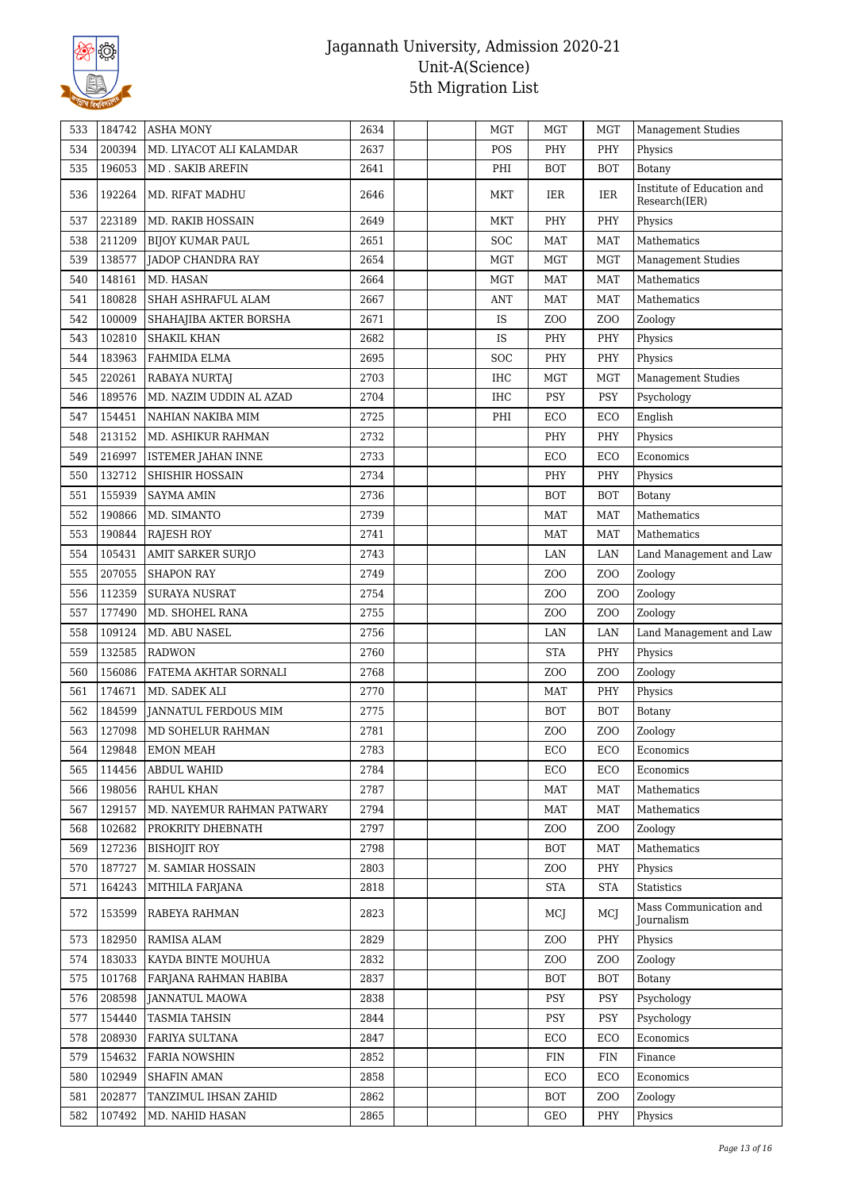

| 533 | 184742 | <b>ASHA MONY</b>            | 2634 |  | MGT        | MGT              | MGT              | <b>Management Studies</b>                   |
|-----|--------|-----------------------------|------|--|------------|------------------|------------------|---------------------------------------------|
| 534 | 200394 | MD. LIYACOT ALI KALAMDAR    | 2637 |  | POS        | PHY              | PHY              | Physics                                     |
| 535 | 196053 | MD. SAKIB AREFIN            | 2641 |  | PHI        | <b>BOT</b>       | <b>BOT</b>       | Botany                                      |
| 536 | 192264 | MD. RIFAT MADHU             | 2646 |  | MKT        | IER              | IER              | Institute of Education and<br>Research(IER) |
| 537 | 223189 | MD. RAKIB HOSSAIN           | 2649 |  | MKT        | PHY              | PHY              | Physics                                     |
| 538 | 211209 | <b>BIJOY KUMAR PAUL</b>     | 2651 |  | <b>SOC</b> | <b>MAT</b>       | <b>MAT</b>       | Mathematics                                 |
| 539 | 138577 | JADOP CHANDRA RAY           | 2654 |  | <b>MGT</b> | MGT              | <b>MGT</b>       | Management Studies                          |
| 540 | 148161 | MD. HASAN                   | 2664 |  | MGT        | MAT              | MAT              | Mathematics                                 |
| 541 | 180828 | SHAH ASHRAFUL ALAM          | 2667 |  | <b>ANT</b> | MAT              | <b>MAT</b>       | Mathematics                                 |
| 542 | 100009 | SHAHAJIBA AKTER BORSHA      | 2671 |  | <b>IS</b>  | Z <sub>0</sub>   | Z <sub>O</sub> O | Zoology                                     |
| 543 | 102810 | <b>SHAKIL KHAN</b>          | 2682 |  | IS         | PHY              | PHY              | Physics                                     |
| 544 | 183963 | FAHMIDA ELMA                | 2695 |  | <b>SOC</b> | PHY              | PHY              | Physics                                     |
| 545 | 220261 | RABAYA NURTAJ               | 2703 |  | <b>IHC</b> | <b>MGT</b>       | <b>MGT</b>       | <b>Management Studies</b>                   |
| 546 | 189576 | MD. NAZIM UDDIN AL AZAD     | 2704 |  | <b>IHC</b> | PSY              | <b>PSY</b>       | Psychology                                  |
| 547 | 154451 | NAHIAN NAKIBA MIM           | 2725 |  | PHI        | ECO              | ECO              | English                                     |
| 548 | 213152 | MD. ASHIKUR RAHMAN          | 2732 |  |            | PHY              | PHY              | Physics                                     |
| 549 | 216997 | ISTEMER JAHAN INNE          | 2733 |  |            | ECO              | ECO              | Economics                                   |
| 550 | 132712 | <b>SHISHIR HOSSAIN</b>      | 2734 |  |            | PHY              | PHY              | Physics                                     |
| 551 | 155939 | <b>SAYMA AMIN</b>           | 2736 |  |            | <b>BOT</b>       | <b>BOT</b>       | Botany                                      |
| 552 | 190866 | MD. SIMANTO                 | 2739 |  |            | MAT              | MAT              | Mathematics                                 |
| 553 | 190844 | RAJESH ROY                  | 2741 |  |            | MAT              | <b>MAT</b>       | Mathematics                                 |
| 554 | 105431 | AMIT SARKER SURJO           | 2743 |  |            | LAN              | LAN              | Land Management and Law                     |
| 555 | 207055 | <b>SHAPON RAY</b>           | 2749 |  |            | Z <sub>O</sub> O | Z <sub>O</sub> O | Zoology                                     |
| 556 | 112359 | <b>SURAYA NUSRAT</b>        | 2754 |  |            | Z <sub>O</sub> O | Z <sub>O</sub> O | Zoology                                     |
| 557 | 177490 | MD. SHOHEL RANA             | 2755 |  |            | Z <sub>O</sub> O | Z <sub>O</sub> O | Zoology                                     |
| 558 | 109124 | MD. ABU NASEL               | 2756 |  |            | LAN              | LAN              | Land Management and Law                     |
| 559 | 132585 | <b>RADWON</b>               | 2760 |  |            | <b>STA</b>       | PHY              | Physics                                     |
| 560 | 156086 | FATEMA AKHTAR SORNALI       | 2768 |  |            | Z <sub>O</sub> O | Z <sub>O</sub> O | Zoology                                     |
| 561 | 174671 | MD. SADEK ALI               | 2770 |  |            | <b>MAT</b>       | PHY              | Physics                                     |
| 562 | 184599 | <b>JANNATUL FERDOUS MIM</b> | 2775 |  |            | <b>BOT</b>       | <b>BOT</b>       | Botany                                      |
| 563 | 127098 | MD SOHELUR RAHMAN           | 2781 |  |            | Z <sub>O</sub> O | Z <sub>O</sub> O | Zoology                                     |
| 564 | 129848 | EMON MEAH                   | 2783 |  |            | ECO              | ECO              | Economics                                   |
| 565 | 114456 | <b>ABDUL WAHID</b>          | 2784 |  |            | ECO              | ECO              | Economics                                   |
| 566 | 198056 | RAHUL KHAN                  | 2787 |  |            | <b>MAT</b>       | MAT              | Mathematics                                 |
| 567 | 129157 | MD. NAYEMUR RAHMAN PATWARY  | 2794 |  |            | <b>MAT</b>       | MAT              | Mathematics                                 |
| 568 | 102682 | PROKRITY DHEBNATH           | 2797 |  |            | Z <sub>0</sub>   | Z <sub>O</sub> O | Zoology                                     |
| 569 | 127236 | <b>BISHOJIT ROY</b>         | 2798 |  |            | <b>BOT</b>       | <b>MAT</b>       | Mathematics                                 |
| 570 | 187727 | M. SAMIAR HOSSAIN           | 2803 |  |            | ZO <sub>O</sub>  | PHY              | Physics                                     |
| 571 | 164243 | MITHILA FARJANA             | 2818 |  |            | <b>STA</b>       | <b>STA</b>       | <b>Statistics</b>                           |
| 572 | 153599 | RABEYA RAHMAN               | 2823 |  |            | MCJ              | MCJ              | Mass Communication and<br>Journalism        |
| 573 | 182950 | RAMISA ALAM                 | 2829 |  |            | Z <sub>O</sub> O | PHY              | Physics                                     |
| 574 | 183033 | KAYDA BINTE MOUHUA          | 2832 |  |            | Z <sub>O</sub> O | Z <sub>O</sub> O | Zoology                                     |
| 575 | 101768 | FARJANA RAHMAN HABIBA       | 2837 |  |            | <b>BOT</b>       | <b>BOT</b>       | Botany                                      |
| 576 | 208598 | <b>JANNATUL MAOWA</b>       | 2838 |  |            | PSY              | <b>PSY</b>       | Psychology                                  |
| 577 | 154440 | <b>TASMIA TAHSIN</b>        | 2844 |  |            | PSY              | <b>PSY</b>       | Psychology                                  |
| 578 | 208930 | FARIYA SULTANA              | 2847 |  |            | ECO              | ECO              | Economics                                   |
| 579 | 154632 | <b>FARIA NOWSHIN</b>        | 2852 |  |            | <b>FIN</b>       | <b>FIN</b>       | Finance                                     |
| 580 | 102949 | <b>SHAFIN AMAN</b>          | 2858 |  |            | ECO              | ECO              | Economics                                   |
| 581 | 202877 | TANZIMUL IHSAN ZAHID        | 2862 |  |            | <b>BOT</b>       | Z <sub>O</sub> O | Zoology                                     |
| 582 | 107492 | MD. NAHID HASAN             | 2865 |  |            | GEO              | PHY              | Physics                                     |
|     |        |                             |      |  |            |                  |                  |                                             |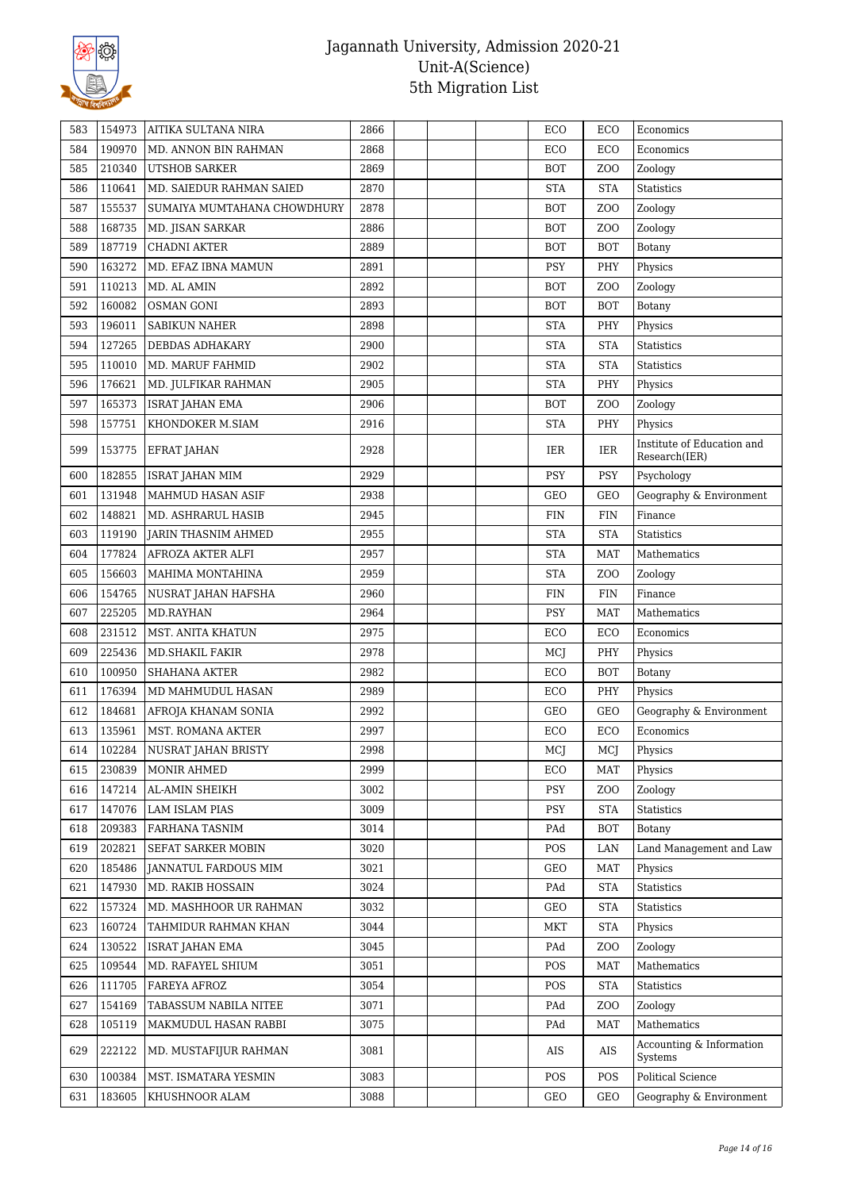

| 583 | 154973 | AITIKA SULTANA NIRA         | 2866 |  | ECO        | ECO              | Economics                                   |
|-----|--------|-----------------------------|------|--|------------|------------------|---------------------------------------------|
| 584 | 190970 | MD. ANNON BIN RAHMAN        | 2868 |  | ECO        | ECO              | Economics                                   |
| 585 | 210340 | <b>UTSHOB SARKER</b>        | 2869 |  | <b>BOT</b> | Z <sub>O</sub> O | Zoology                                     |
| 586 | 110641 | MD. SAIEDUR RAHMAN SAIED    | 2870 |  | <b>STA</b> | <b>STA</b>       | Statistics                                  |
| 587 | 155537 | SUMAIYA MUMTAHANA CHOWDHURY | 2878 |  | <b>BOT</b> | Z <sub>0</sub>   | Zoology                                     |
| 588 | 168735 | MD. JISAN SARKAR            | 2886 |  | <b>BOT</b> | Z <sub>O</sub> O | Zoology                                     |
| 589 | 187719 | <b>CHADNI AKTER</b>         | 2889 |  | <b>BOT</b> | <b>BOT</b>       | Botany                                      |
| 590 | 163272 | MD. EFAZ IBNA MAMUN         | 2891 |  | PSY        | PHY              | Physics                                     |
| 591 | 110213 | MD. AL AMIN                 | 2892 |  | <b>BOT</b> | Z <sub>O</sub> O | Zoology                                     |
| 592 | 160082 | <b>OSMAN GONI</b>           | 2893 |  | <b>BOT</b> | <b>BOT</b>       | Botany                                      |
| 593 | 196011 | <b>SABIKUN NAHER</b>        | 2898 |  | <b>STA</b> | PHY              | Physics                                     |
| 594 | 127265 | DEBDAS ADHAKARY             | 2900 |  | <b>STA</b> | <b>STA</b>       | <b>Statistics</b>                           |
| 595 | 110010 | MD. MARUF FAHMID            | 2902 |  | <b>STA</b> | <b>STA</b>       | Statistics                                  |
| 596 | 176621 | MD. JULFIKAR RAHMAN         | 2905 |  | <b>STA</b> | PHY              | Physics                                     |
| 597 | 165373 | ISRAT JAHAN EMA             | 2906 |  | <b>BOT</b> | Z <sub>0</sub>   | Zoology                                     |
| 598 | 157751 | KHONDOKER M.SIAM            | 2916 |  | <b>STA</b> | PHY              | Physics                                     |
| 599 | 153775 | EFRAT JAHAN                 | 2928 |  | IER        | IER              | Institute of Education and<br>Research(IER) |
| 600 | 182855 | <b>ISRAT JAHAN MIM</b>      | 2929 |  | PSY        | <b>PSY</b>       | Psychology                                  |
| 601 | 131948 | MAHMUD HASAN ASIF           | 2938 |  | GEO        | <b>GEO</b>       | Geography & Environment                     |
| 602 | 148821 | MD. ASHRARUL HASIB          | 2945 |  | <b>FIN</b> | <b>FIN</b>       | Finance                                     |
| 603 | 119190 | JARIN THASNIM AHMED         | 2955 |  | <b>STA</b> | <b>STA</b>       | Statistics                                  |
| 604 | 177824 | AFROZA AKTER ALFI           | 2957 |  | <b>STA</b> | <b>MAT</b>       | Mathematics                                 |
| 605 | 156603 | MAHIMA MONTAHINA            | 2959 |  | <b>STA</b> | Z <sub>O</sub> O | Zoology                                     |
| 606 | 154765 | NUSRAT JAHAN HAFSHA         | 2960 |  | FIN        | <b>FIN</b>       | Finance                                     |
| 607 | 225205 | MD.RAYHAN                   | 2964 |  | PSY        | MAT              | Mathematics                                 |
| 608 | 231512 | MST. ANITA KHATUN           | 2975 |  | ECO        | ECO              | Economics                                   |
| 609 | 225436 | MD.SHAKIL FAKIR             | 2978 |  | MCJ        | PHY              | Physics                                     |
| 610 | 100950 | <b>SHAHANA AKTER</b>        | 2982 |  | ECO        | <b>BOT</b>       | Botany                                      |
| 611 | 176394 | MD MAHMUDUL HASAN           | 2989 |  | ECO        | PHY              | Physics                                     |
| 612 | 184681 | AFROJA KHANAM SONIA         | 2992 |  | GEO        | GEO              | Geography & Environment                     |
| 613 | 135961 | MST. ROMANA AKTER           | 2997 |  | ECO        | ECO              | Economics                                   |
| 614 | 102284 | NUSRAT JAHAN BRISTY         | 2998 |  | MCJ        | MCJ              | ${\rm Physics}$                             |
| 615 | 230839 | MONIR AHMED                 | 2999 |  | ECO        | MAT              | Physics                                     |
| 616 | 147214 | AL-AMIN SHEIKH              | 3002 |  | <b>PSY</b> | Z <sub>0</sub>   | Zoology                                     |
| 617 | 147076 | <b>LAM ISLAM PIAS</b>       | 3009 |  | <b>PSY</b> | <b>STA</b>       | <b>Statistics</b>                           |
| 618 | 209383 | FARHANA TASNIM              | 3014 |  | PAd        | <b>BOT</b>       | Botany                                      |
| 619 | 202821 | SEFAT SARKER MOBIN          | 3020 |  | POS        | LAN              | Land Management and Law                     |
| 620 | 185486 | JANNATUL FARDOUS MIM        | 3021 |  | GEO        | MAT              | Physics                                     |
| 621 | 147930 | MD. RAKIB HOSSAIN           | 3024 |  | PAd        | <b>STA</b>       | <b>Statistics</b>                           |
| 622 | 157324 | MD. MASHHOOR UR RAHMAN      | 3032 |  | GEO        | <b>STA</b>       | Statistics                                  |
| 623 | 160724 | TAHMIDUR RAHMAN KHAN        | 3044 |  | MKT        | <b>STA</b>       | Physics                                     |
| 624 | 130522 | <b>ISRAT JAHAN EMA</b>      | 3045 |  | PAd        | Z <sub>O</sub> O | Zoology                                     |
| 625 | 109544 | MD. RAFAYEL SHIUM           | 3051 |  | POS        | MAT              | Mathematics                                 |
| 626 | 111705 | <b>FAREYA AFROZ</b>         | 3054 |  | POS        | <b>STA</b>       | <b>Statistics</b>                           |
| 627 | 154169 | TABASSUM NABILA NITEE       | 3071 |  | PAd        | Z <sub>0</sub>   | Zoology                                     |
| 628 | 105119 | MAKMUDUL HASAN RABBI        | 3075 |  | PAd        | <b>MAT</b>       | Mathematics                                 |
| 629 | 222122 | MD. MUSTAFIJUR RAHMAN       | 3081 |  | AIS        | AIS              | Accounting & Information<br>Systems         |
| 630 | 100384 | MST. ISMATARA YESMIN        | 3083 |  | POS        | <b>POS</b>       | <b>Political Science</b>                    |
| 631 | 183605 | KHUSHNOOR ALAM              | 3088 |  | GEO        | GEO              | Geography & Environment                     |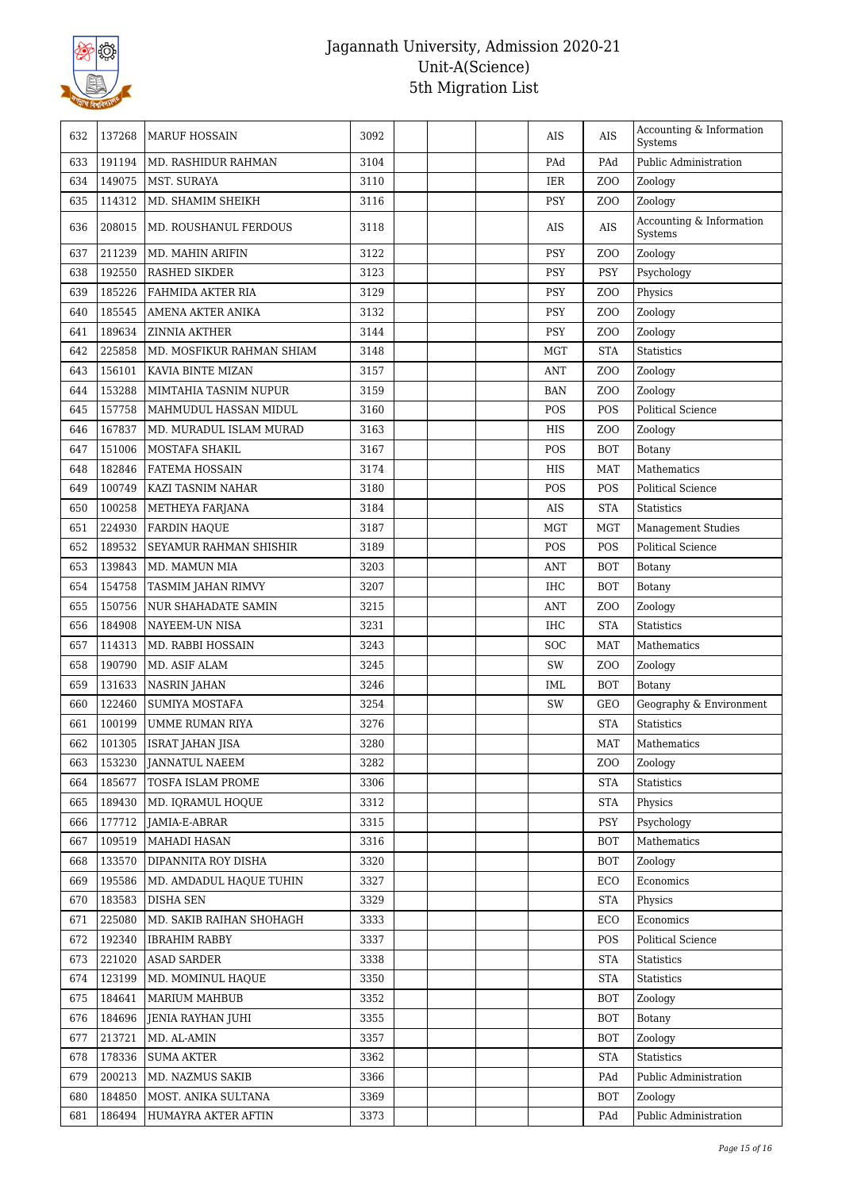

| 632 | 137268 | <b>MARUF HOSSAIN</b>       | 3092 |  | AIS        | <b>AIS</b>       | Accounting & Information<br>Systems |
|-----|--------|----------------------------|------|--|------------|------------------|-------------------------------------|
| 633 | 191194 | <b>MD. RASHIDUR RAHMAN</b> | 3104 |  | PAd        | PAd              | Public Administration               |
| 634 | 149075 | MST. SURAYA                | 3110 |  | IER        | Z <sub>O</sub> O | Zoology                             |
| 635 | 114312 | MD. SHAMIM SHEIKH          | 3116 |  | <b>PSY</b> | Z <sub>O</sub> O | Zoology                             |
| 636 | 208015 | MD. ROUSHANUL FERDOUS      | 3118 |  | AIS        | AIS              | Accounting & Information<br>Systems |
| 637 | 211239 | MD. MAHIN ARIFIN           | 3122 |  | PSY        | Z <sub>O</sub> O | Zoology                             |
| 638 | 192550 | <b>RASHED SIKDER</b>       | 3123 |  | <b>PSY</b> | <b>PSY</b>       | Psychology                          |
| 639 | 185226 | FAHMIDA AKTER RIA          | 3129 |  | PSY        | Z <sub>0</sub>   | Physics                             |
| 640 | 185545 | <b>AMENA AKTER ANIKA</b>   | 3132 |  | PSY        | Z <sub>O</sub> O | Zoology                             |
| 641 | 189634 | <b>ZINNIA AKTHER</b>       | 3144 |  | PSY        | Z <sub>0</sub>   | Zoology                             |
| 642 | 225858 | MD. MOSFIKUR RAHMAN SHIAM  | 3148 |  | MGT        | <b>STA</b>       | <b>Statistics</b>                   |
| 643 | 156101 | KAVIA BINTE MIZAN          | 3157 |  | <b>ANT</b> | Z <sub>O</sub> O | Zoology                             |
| 644 | 153288 | MIMTAHIA TASNIM NUPUR      | 3159 |  | <b>BAN</b> | Z <sub>0</sub>   | Zoology                             |
| 645 | 157758 | MAHMUDUL HASSAN MIDUL      | 3160 |  | POS        | POS              | <b>Political Science</b>            |
| 646 | 167837 | MD. MURADUL ISLAM MURAD    | 3163 |  | HIS        | Z <sub>O</sub> O | Zoology                             |
| 647 | 151006 | MOSTAFA SHAKIL             | 3167 |  | POS        | <b>BOT</b>       | Botany                              |
| 648 | 182846 | <b>FATEMA HOSSAIN</b>      | 3174 |  | HIS        | MAT              | Mathematics                         |
| 649 | 100749 | KAZI TASNIM NAHAR          | 3180 |  | POS        | POS              | <b>Political Science</b>            |
| 650 | 100258 | METHEYA FARJANA            | 3184 |  | AIS        | <b>STA</b>       | <b>Statistics</b>                   |
| 651 | 224930 | <b>FARDIN HAQUE</b>        | 3187 |  | <b>MGT</b> | MGT              | <b>Management Studies</b>           |
| 652 | 189532 | SEYAMUR RAHMAN SHISHIR     | 3189 |  | POS        | POS              | <b>Political Science</b>            |
| 653 | 139843 | MD. MAMUN MIA              | 3203 |  | ANT        | <b>BOT</b>       | Botany                              |
| 654 | 154758 | TASMIM JAHAN RIMVY         | 3207 |  | <b>IHC</b> | <b>BOT</b>       | Botany                              |
| 655 | 150756 | <b>NUR SHAHADATE SAMIN</b> | 3215 |  | <b>ANT</b> | Z <sub>O</sub> O | Zoology                             |
| 656 | 184908 | NAYEEM-UN NISA             | 3231 |  | <b>IHC</b> | <b>STA</b>       | <b>Statistics</b>                   |
| 657 | 114313 | MD. RABBI HOSSAIN          | 3243 |  | <b>SOC</b> | MAT              | Mathematics                         |
| 658 | 190790 | MD. ASIF ALAM              | 3245 |  | SW         | Z <sub>0</sub>   | Zoology                             |
| 659 | 131633 | <b>NASRIN JAHAN</b>        | 3246 |  | IML        | <b>BOT</b>       | Botany                              |
| 660 | 122460 | <b>SUMIYA MOSTAFA</b>      | 3254 |  | SW         | GEO              | Geography & Environment             |
| 661 | 100199 | UMME RUMAN RIYA            | 3276 |  |            | <b>STA</b>       | <b>Statistics</b>                   |
| 662 | 101305 | <b>ISRAT JAHAN JISA</b>    | 3280 |  |            | <b>MAT</b>       | Mathematics                         |
| 663 | 153230 | <b>JANNATUL NAEEM</b>      | 3282 |  |            | ZO <sub>O</sub>  | Zoology                             |
| 664 | 185677 | TOSFA ISLAM PROME          | 3306 |  |            | <b>STA</b>       | Statistics                          |
| 665 | 189430 | MD. IORAMUL HOOUE          | 3312 |  |            | <b>STA</b>       | Physics                             |
| 666 | 177712 | JAMIA-E-ABRAR              | 3315 |  |            | <b>PSY</b>       | Psychology                          |
| 667 | 109519 | MAHADI HASAN               | 3316 |  |            | <b>BOT</b>       | Mathematics                         |
| 668 | 133570 | DIPANNITA ROY DISHA        | 3320 |  |            | <b>BOT</b>       | Zoology                             |
| 669 | 195586 | MD. AMDADUL HAQUE TUHIN    | 3327 |  |            | ECO              | Economics                           |
| 670 | 183583 | <b>DISHA SEN</b>           | 3329 |  |            | <b>STA</b>       | Physics                             |
| 671 | 225080 | MD. SAKIB RAIHAN SHOHAGH   | 3333 |  |            | ECO              | Economics                           |
| 672 | 192340 | <b>IBRAHIM RABBY</b>       | 3337 |  |            | POS              | <b>Political Science</b>            |
| 673 | 221020 | <b>ASAD SARDER</b>         | 3338 |  |            | <b>STA</b>       | <b>Statistics</b>                   |
| 674 | 123199 | MD. MOMINUL HAQUE          | 3350 |  |            | <b>STA</b>       | Statistics                          |
| 675 | 184641 | MARIUM MAHBUB              | 3352 |  |            | <b>BOT</b>       | Zoology                             |
| 676 | 184696 | JENIA RAYHAN JUHI          | 3355 |  |            | <b>BOT</b>       | Botany                              |
| 677 | 213721 | MD. AL-AMIN                | 3357 |  |            | <b>BOT</b>       | Zoology                             |
| 678 | 178336 | <b>SUMA AKTER</b>          | 3362 |  |            | <b>STA</b>       | Statistics                          |
| 679 | 200213 | MD. NAZMUS SAKIB           | 3366 |  |            | PAd              | Public Administration               |
| 680 | 184850 | MOST. ANIKA SULTANA        | 3369 |  |            | <b>BOT</b>       | Zoology                             |
| 681 | 186494 | HUMAYRA AKTER AFTIN        | 3373 |  |            | PAd              | Public Administration               |
|     |        |                            |      |  |            |                  |                                     |